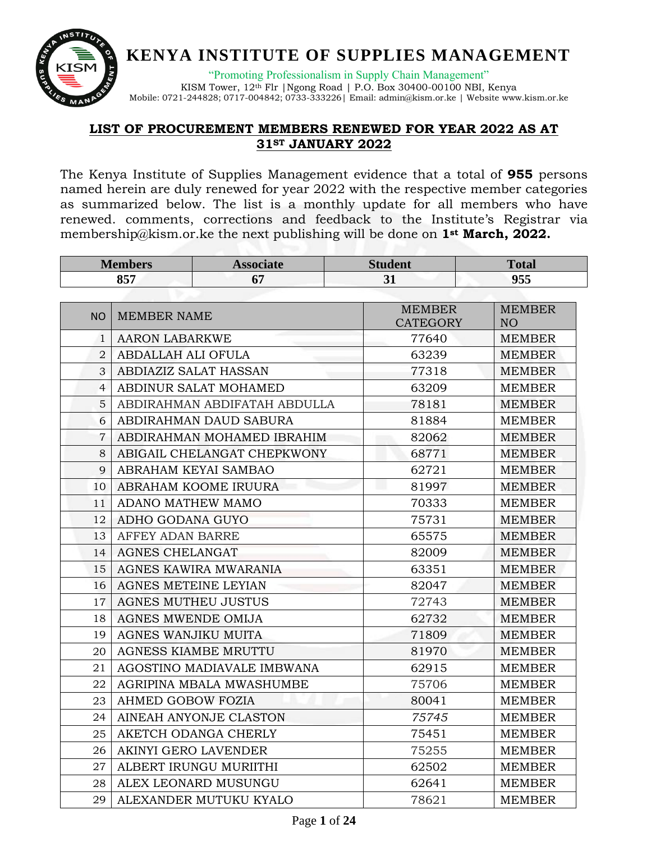

"Promoting Professionalism in Supply Chain Management" KISM Tower, 12th Flr |Ngong Road | P.O. Box 30400-00100 NBI, Kenya

Mobile: 0721-244828; 0717-004842; 0733-333226| Email[: admin@kism.or.ke](mailto:admin@kism.or.ke) | Website [www.kism.or.ke](http://www.kism.or.ke/)

#### **LIST OF PROCUREMENT MEMBERS RENEWED FOR YEAR 2022 AS AT ST JANUARY 2022**

The Kenya Institute of Supplies Management evidence that a total of **955** persons named herein are duly renewed for year 2022 with the respective member categories as summarized below. The list is a monthly update for all members who have renewed. comments, corrections and feedback to the Institute's Registrar via [membership@kism.or.ke](mailto:membership@kism.or.ke) the next publishing will be done on **1st March, 2022.**

| <b>Members</b> |                             | <b>Associate</b>             | <b>Student</b>                   | <b>Total</b>                     |
|----------------|-----------------------------|------------------------------|----------------------------------|----------------------------------|
|                | 857                         | 67                           | 955<br>31                        |                                  |
|                |                             |                              |                                  |                                  |
| <b>NO</b>      | <b>MEMBER NAME</b>          |                              | <b>MEMBER</b><br><b>CATEGORY</b> | <b>MEMBER</b><br>NO <sub>1</sub> |
| $\mathbf{1}$   | <b>AARON LABARKWE</b>       |                              | 77640                            | <b>MEMBER</b>                    |
| $\overline{2}$ | ABDALLAH ALI OFULA          |                              | 63239                            | <b>MEMBER</b>                    |
| 3              |                             | ABDIAZIZ SALAT HASSAN        | 77318                            | <b>MEMBER</b>                    |
| $\overline{4}$ |                             | ABDINUR SALAT MOHAMED        | 63209                            | <b>MEMBER</b>                    |
| 5              |                             | ABDIRAHMAN ABDIFATAH ABDULLA | 78181                            | <b>MEMBER</b>                    |
| 6              |                             | ABDIRAHMAN DAUD SABURA       | 81884                            | <b>MEMBER</b>                    |
| 7              |                             | ABDIRAHMAN MOHAMED IBRAHIM   | 82062                            | <b>MEMBER</b>                    |
| 8              |                             | ABIGAIL CHELANGAT CHEPKWONY  | 68771                            | <b>MEMBER</b>                    |
| 9              |                             | ABRAHAM KEYAI SAMBAO         | 62721                            | <b>MEMBER</b>                    |
| 10             |                             | ABRAHAM KOOME IRUURA         | w<br>81997                       | <b>MEMBER</b>                    |
| 11             | ADANO MATHEW MAMO           |                              | 70333                            | <b>MEMBER</b>                    |
| 12             | ADHO GODANA GUYO            |                              | 75731                            | <b>MEMBER</b>                    |
| 13             | AFFEY ADAN BARRE            |                              | 65575                            | <b>MEMBER</b>                    |
| 14             | <b>AGNES CHELANGAT</b>      |                              | 82009                            | <b>MEMBER</b>                    |
| 15             |                             | AGNES KAWIRA MWARANIA        | 63351                            | <b>MEMBER</b>                    |
| 16             | AGNES METEINE LEYIAN        |                              | 82047                            | <b>MEMBER</b>                    |
| 17             | <b>AGNES MUTHEU JUSTUS</b>  |                              | 72743                            | <b>MEMBER</b>                    |
| 18             | <b>AGNES MWENDE OMIJA</b>   |                              | 62732                            | <b>MEMBER</b>                    |
| 19             | <b>AGNES WANJIKU MUITA</b>  |                              | 71809                            | <b>MEMBER</b>                    |
| 20             |                             | <b>AGNESS KIAMBE MRUTTU</b>  | 81970                            | <b>MEMBER</b>                    |
| 21             |                             | AGOSTINO MADIAVALE IMBWANA   | 62915                            | <b>MEMBER</b>                    |
| 22             |                             | AGRIPINA MBALA MWASHUMBE     | 75706                            | <b>MEMBER</b>                    |
| 23             | AHMED GOBOW FOZIA           |                              | 80041                            | <b>MEMBER</b>                    |
| 24             |                             | AINEAH ANYONJE CLASTON       | 75745                            | <b>MEMBER</b>                    |
| 25             |                             | AKETCH ODANGA CHERLY         | 75451                            | <b>MEMBER</b>                    |
| 26             | <b>AKINYI GERO LAVENDER</b> |                              | 75255                            | <b>MEMBER</b>                    |
| 27             |                             | ALBERT IRUNGU MURIITHI       | 62502                            | <b>MEMBER</b>                    |
| 28             |                             | ALEX LEONARD MUSUNGU         | 62641                            | <b>MEMBER</b>                    |
| 29             |                             | ALEXANDER MUTUKU KYALO       | 78621                            | <b>MEMBER</b>                    |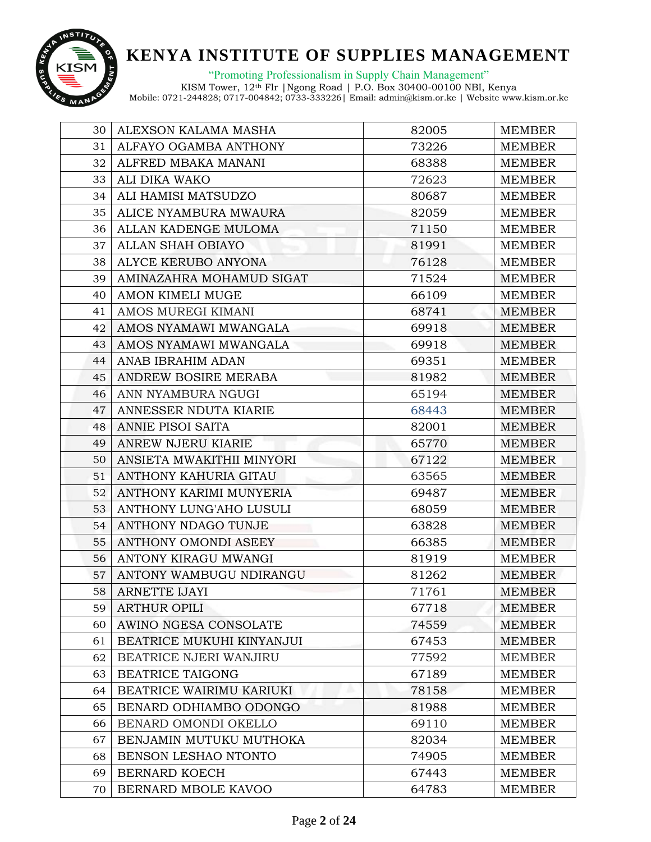

"Promoting Professionalism in Supply Chain Management"

| 30 | ALEXSON KALAMA MASHA        | 82005 | <b>MEMBER</b> |
|----|-----------------------------|-------|---------------|
| 31 | ALFAYO OGAMBA ANTHONY       | 73226 | <b>MEMBER</b> |
| 32 | ALFRED MBAKA MANANI         | 68388 | <b>MEMBER</b> |
| 33 | ALI DIKA WAKO               | 72623 | <b>MEMBER</b> |
| 34 | ALI HAMISI MATSUDZO         | 80687 | <b>MEMBER</b> |
| 35 | ALICE NYAMBURA MWAURA       | 82059 | <b>MEMBER</b> |
| 36 | ALLAN KADENGE MULOMA        | 71150 | <b>MEMBER</b> |
| 37 | ALLAN SHAH OBIAYO           | 81991 | <b>MEMBER</b> |
| 38 | ALYCE KERUBO ANYONA         | 76128 | <b>MEMBER</b> |
| 39 | AMINAZAHRA MOHAMUD SIGAT    | 71524 | <b>MEMBER</b> |
| 40 | AMON KIMELI MUGE            | 66109 | <b>MEMBER</b> |
| 41 | AMOS MUREGI KIMANI          | 68741 | <b>MEMBER</b> |
| 42 | AMOS NYAMAWI MWANGALA       | 69918 | MEMBER        |
| 43 | AMOS NYAMAWI MWANGALA       | 69918 | <b>MEMBER</b> |
| 44 | ANAB IBRAHIM ADAN           | 69351 | <b>MEMBER</b> |
| 45 | ANDREW BOSIRE MERABA        | 81982 | <b>MEMBER</b> |
| 46 | ANN NYAMBURA NGUGI          | 65194 | <b>MEMBER</b> |
| 47 | ANNESSER NDUTA KIARIE       | 68443 | <b>MEMBER</b> |
| 48 | ANNIE PISOI SAITA           | 82001 | <b>MEMBER</b> |
| 49 | ANREW NJERU KIARIE          | 65770 | <b>MEMBER</b> |
| 50 | ANSIETA MWAKITHII MINYORI   | 67122 | <b>MEMBER</b> |
| 51 | ANTHONY KAHURIA GITAU       | 63565 | <b>MEMBER</b> |
| 52 | ANTHONY KARIMI MUNYERIA     | 69487 | <b>MEMBER</b> |
| 53 | ANTHONY LUNG'AHO LUSULI     | 68059 | <b>MEMBER</b> |
| 54 | ANTHONY NDAGO TUNJE         | 63828 | MEMBER        |
| 55 | <b>ANTHONY OMONDI ASEEY</b> | 66385 | <b>MEMBER</b> |
| 56 | ANTONY KIRAGU MWANGI        | 81919 | <b>MEMBER</b> |
| 57 | ANTONY WAMBUGU NDIRANGU     | 81262 | <b>MEMBER</b> |
| 58 | <b>ARNETTE IJAYI</b>        | 71761 | <b>MEMBER</b> |
| 59 | <b>ARTHUR OPILI</b>         | 67718 | <b>MEMBER</b> |
| 60 | AWINO NGESA CONSOLATE       | 74559 | <b>MEMBER</b> |
| 61 | BEATRICE MUKUHI KINYANJUI   | 67453 | <b>MEMBER</b> |
| 62 | BEATRICE NJERI WANJIRU      | 77592 | <b>MEMBER</b> |
| 63 | <b>BEATRICE TAIGONG</b>     | 67189 | <b>MEMBER</b> |
| 64 | BEATRICE WAIRIMU KARIUKI    | 78158 | <b>MEMBER</b> |
| 65 | BENARD ODHIAMBO ODONGO      | 81988 | <b>MEMBER</b> |
| 66 | BENARD OMONDI OKELLO        | 69110 | <b>MEMBER</b> |
| 67 | BENJAMIN MUTUKU MUTHOKA     | 82034 | <b>MEMBER</b> |
| 68 | BENSON LESHAO NTONTO        | 74905 | <b>MEMBER</b> |
| 69 | BERNARD KOECH               | 67443 | <b>MEMBER</b> |
| 70 | BERNARD MBOLE KAVOO         | 64783 | <b>MEMBER</b> |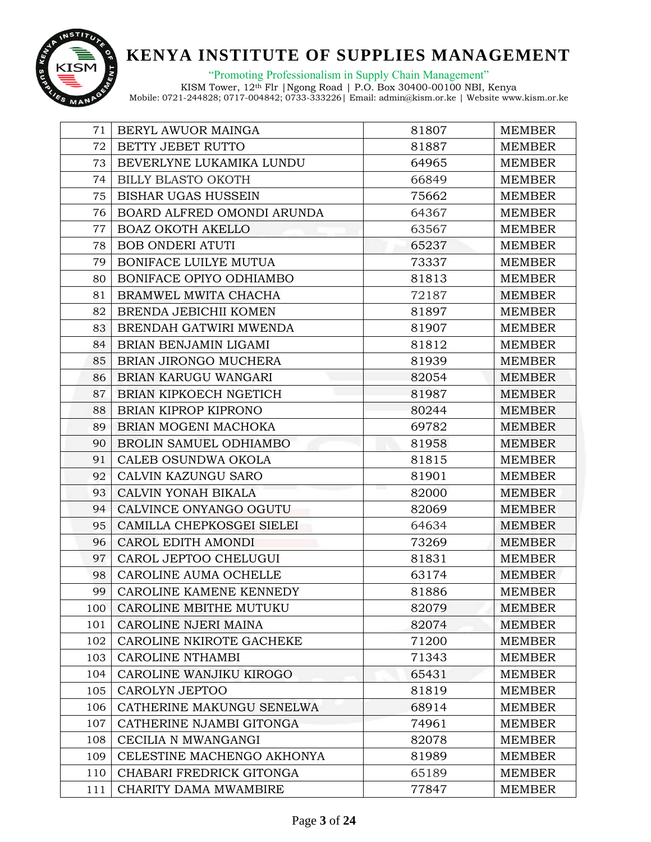

"Promoting Professionalism in Supply Chain Management"

| 71  | BERYL AWUOR MAINGA          | 81807 | <b>MEMBER</b> |
|-----|-----------------------------|-------|---------------|
| 72  | BETTY JEBET RUTTO           | 81887 | <b>MEMBER</b> |
| 73  | BEVERLYNE LUKAMIKA LUNDU    | 64965 | <b>MEMBER</b> |
| 74  | <b>BILLY BLASTO OKOTH</b>   | 66849 | <b>MEMBER</b> |
| 75  | <b>BISHAR UGAS HUSSEIN</b>  | 75662 | <b>MEMBER</b> |
| 76  | BOARD ALFRED OMONDI ARUNDA  | 64367 | <b>MEMBER</b> |
| 77  | <b>BOAZ OKOTH AKELLO</b>    | 63567 | <b>MEMBER</b> |
| 78  | <b>BOB ONDERI ATUTI</b>     | 65237 | <b>MEMBER</b> |
| 79  | BONIFACE LUILYE MUTUA       | 73337 | <b>MEMBER</b> |
| 80  | BONIFACE OPIYO ODHIAMBO     | 81813 | <b>MEMBER</b> |
| 81  | BRAMWEL MWITA CHACHA        | 72187 | <b>MEMBER</b> |
| 82  | BRENDA JEBICHII KOMEN       | 81897 | <b>MEMBER</b> |
| 83  | BRENDAH GATWIRI MWENDA      | 81907 | <b>MEMBER</b> |
| 84  | BRIAN BENJAMIN LIGAMI       | 81812 | <b>MEMBER</b> |
| 85  | BRIAN JIRONGO MUCHERA       | 81939 | <b>MEMBER</b> |
| 86  | BRIAN KARUGU WANGARI        | 82054 | <b>MEMBER</b> |
| 87  | BRIAN KIPKOECH NGETICH      | 81987 | <b>MEMBER</b> |
| 88  | <b>BRIAN KIPROP KIPRONO</b> | 80244 | <b>MEMBER</b> |
| 89  | BRIAN MOGENI MACHOKA        | 69782 | <b>MEMBER</b> |
| 90  | BROLIN SAMUEL ODHIAMBO      | 81958 | <b>MEMBER</b> |
| 91  | CALEB OSUNDWA OKOLA         | 81815 | <b>MEMBER</b> |
| 92  | CALVIN KAZUNGU SARO         | 81901 | <b>MEMBER</b> |
| 93  | CALVIN YONAH BIKALA         | 82000 | <b>MEMBER</b> |
| 94  | CALVINCE ONYANGO OGUTU      | 82069 | <b>MEMBER</b> |
| 95  | CAMILLA CHEPKOSGEI SIELEI   | 64634 | <b>MEMBER</b> |
| 96  | CAROL EDITH AMONDI          | 73269 | <b>MEMBER</b> |
| 97  | CAROL JEPTOO CHELUGUI       | 81831 | <b>MEMBER</b> |
| 98  | CAROLINE AUMA OCHELLE       | 63174 | <b>MEMBER</b> |
| 99  | CAROLINE KAMENE KENNEDY     | 81886 | <b>MEMBER</b> |
| 100 | CAROLINE MBITHE MUTUKU      | 82079 | <b>MEMBER</b> |
| 101 | CAROLINE NJERI MAINA        | 82074 | <b>MEMBER</b> |
| 102 | CAROLINE NKIROTE GACHEKE    | 71200 | <b>MEMBER</b> |
| 103 | <b>CAROLINE NTHAMBI</b>     | 71343 | <b>MEMBER</b> |
| 104 | CAROLINE WANJIKU KIROGO     | 65431 | <b>MEMBER</b> |
| 105 | CAROLYN JEPTOO              | 81819 | <b>MEMBER</b> |
| 106 | CATHERINE MAKUNGU SENELWA   | 68914 | <b>MEMBER</b> |
| 107 | CATHERINE NJAMBI GITONGA    | 74961 | MEMBER        |
| 108 | CECILIA N MWANGANGI         | 82078 | <b>MEMBER</b> |
| 109 | CELESTINE MACHENGO AKHONYA  | 81989 | <b>MEMBER</b> |
| 110 | CHABARI FREDRICK GITONGA    | 65189 | <b>MEMBER</b> |
| 111 | CHARITY DAMA MWAMBIRE       | 77847 | <b>MEMBER</b> |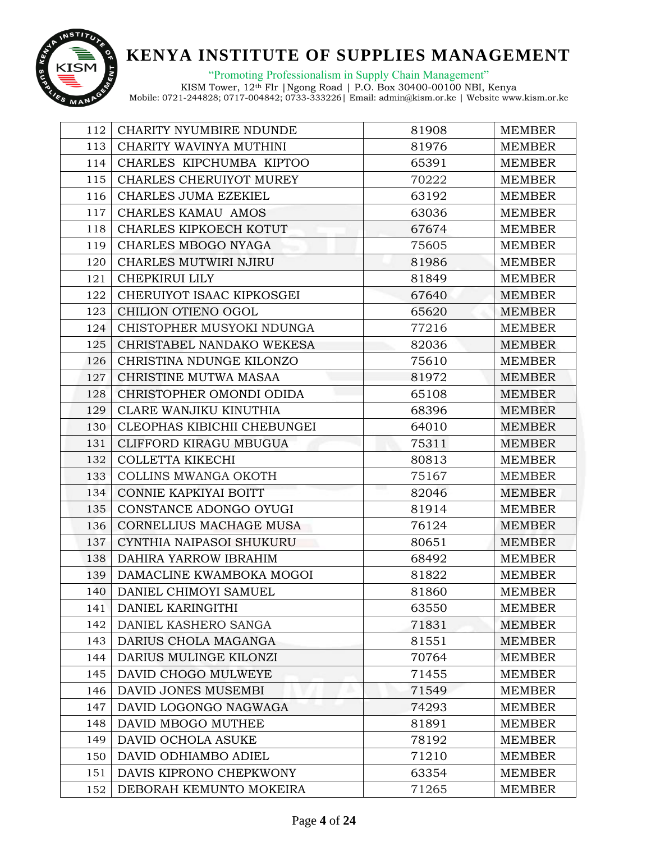

"Promoting Professionalism in Supply Chain Management"

| 112 | <b>CHARITY NYUMBIRE NDUNDE</b> | 81908 | <b>MEMBER</b> |
|-----|--------------------------------|-------|---------------|
| 113 | CHARITY WAVINYA MUTHINI        | 81976 | <b>MEMBER</b> |
| 114 | CHARLES KIPCHUMBA KIPTOO       | 65391 | <b>MEMBER</b> |
| 115 | CHARLES CHERUIYOT MUREY        | 70222 | <b>MEMBER</b> |
| 116 | CHARLES JUMA EZEKIEL           | 63192 | <b>MEMBER</b> |
| 117 | CHARLES KAMAU AMOS             | 63036 | <b>MEMBER</b> |
| 118 | CHARLES KIPKOECH KOTUT         | 67674 | <b>MEMBER</b> |
| 119 | CHARLES MBOGO NYAGA            | 75605 | MEMBER        |
| 120 | CHARLES MUTWIRI NJIRU          | 81986 | <b>MEMBER</b> |
| 121 | CHEPKIRUI LILY                 | 81849 | <b>MEMBER</b> |
| 122 | CHERUIYOT ISAAC KIPKOSGEI      | 67640 | <b>MEMBER</b> |
| 123 | CHILION OTIENO OGOL            | 65620 | <b>MEMBER</b> |
| 124 | CHISTOPHER MUSYOKI NDUNGA      | 77216 | <b>MEMBER</b> |
| 125 | CHRISTABEL NANDAKO WEKESA      | 82036 | <b>MEMBER</b> |
| 126 | CHRISTINA NDUNGE KILONZO       | 75610 | <b>MEMBER</b> |
| 127 | CHRISTINE MUTWA MASAA          | 81972 | <b>MEMBER</b> |
| 128 | CHRISTOPHER OMONDI ODIDA       | 65108 | <b>MEMBER</b> |
| 129 | CLARE WANJIKU KINUTHIA         | 68396 | <b>MEMBER</b> |
| 130 | CLEOPHAS KIBICHII CHEBUNGEI    | 64010 | <b>MEMBER</b> |
| 131 | CLIFFORD KIRAGU MBUGUA         | 75311 | <b>MEMBER</b> |
| 132 | COLLETTA KIKECHI               | 80813 | <b>MEMBER</b> |
| 133 | COLLINS MWANGA OKOTH           | 75167 | <b>MEMBER</b> |
| 134 | CONNIE KAPKIYAI BOITT          | 82046 | <b>MEMBER</b> |
| 135 | CONSTANCE ADONGO OYUGI         | 81914 | <b>MEMBER</b> |
| 136 | CORNELLIUS MACHAGE MUSA        | 76124 | <b>MEMBER</b> |
| 137 | CYNTHIA NAIPASOI SHUKURU       | 80651 | MEMBER        |
| 138 | DAHIRA YARROW IBRAHIM          | 68492 | <b>MEMBER</b> |
| 139 | DAMACLINE KWAMBOKA MOGOI       | 81822 | <b>MEMBER</b> |
| 140 | DANIEL CHIMOYI SAMUEL          | 81860 | <b>MEMBER</b> |
| 141 | DANIEL KARINGITHI              | 63550 | <b>MEMBER</b> |
| 142 | DANIEL KASHERO SANGA           | 71831 | <b>MEMBER</b> |
| 143 | DARIUS CHOLA MAGANGA           | 81551 | <b>MEMBER</b> |
| 144 | DARIUS MULINGE KILONZI         | 70764 | <b>MEMBER</b> |
| 145 | DAVID CHOGO MULWEYE            | 71455 | <b>MEMBER</b> |
| 146 | DAVID JONES MUSEMBI            | 71549 | <b>MEMBER</b> |
| 147 | DAVID LOGONGO NAGWAGA          | 74293 | <b>MEMBER</b> |
| 148 | DAVID MBOGO MUTHEE             | 81891 | <b>MEMBER</b> |
| 149 | DAVID OCHOLA ASUKE             | 78192 | <b>MEMBER</b> |
| 150 | DAVID ODHIAMBO ADIEL           | 71210 | <b>MEMBER</b> |
| 151 | DAVIS KIPRONO CHEPKWONY        | 63354 | <b>MEMBER</b> |
| 152 | DEBORAH KEMUNTO MOKEIRA        | 71265 | <b>MEMBER</b> |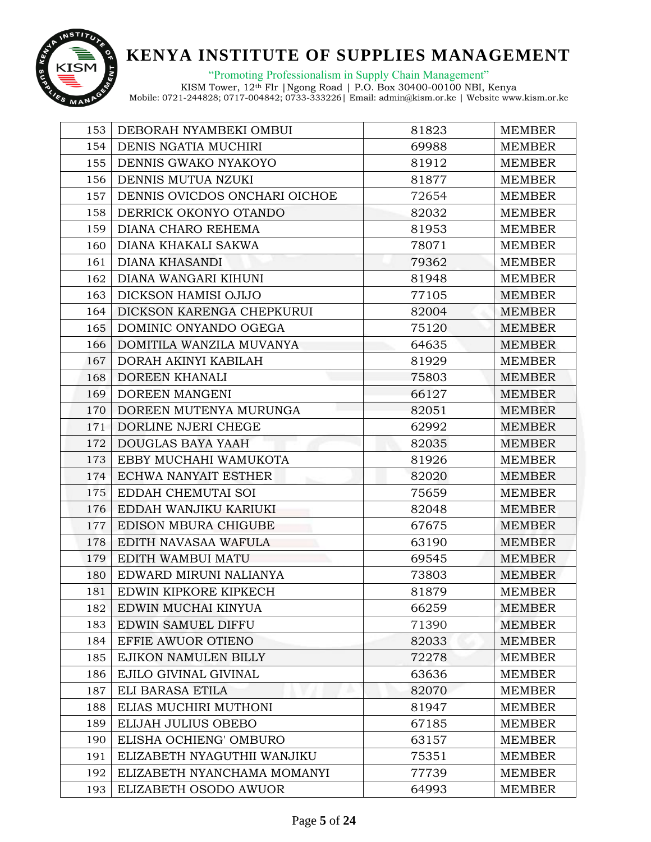

"Promoting Professionalism in Supply Chain Management"

| 153 | DEBORAH NYAMBEKI OMBUI        | 81823 | <b>MEMBER</b> |
|-----|-------------------------------|-------|---------------|
| 154 | DENIS NGATIA MUCHIRI          | 69988 | <b>MEMBER</b> |
| 155 | DENNIS GWAKO NYAKOYO          | 81912 | <b>MEMBER</b> |
| 156 | DENNIS MUTUA NZUKI            | 81877 | <b>MEMBER</b> |
| 157 | DENNIS OVICDOS ONCHARI OICHOE | 72654 | <b>MEMBER</b> |
| 158 | DERRICK OKONYO OTANDO         | 82032 | <b>MEMBER</b> |
| 159 | DIANA CHARO REHEMA            | 81953 | <b>MEMBER</b> |
| 160 | DIANA KHAKALI SAKWA           | 78071 | <b>MEMBER</b> |
| 161 | DIANA KHASANDI                | 79362 | <b>MEMBER</b> |
| 162 | DIANA WANGARI KIHUNI          | 81948 | <b>MEMBER</b> |
| 163 | DICKSON HAMISI OJIJO          | 77105 | <b>MEMBER</b> |
| 164 | DICKSON KARENGA CHEPKURUI     | 82004 | <b>MEMBER</b> |
| 165 | DOMINIC ONYANDO OGEGA         | 75120 | <b>MEMBER</b> |
| 166 | DOMITILA WANZILA MUVANYA      | 64635 | <b>MEMBER</b> |
| 167 | DORAH AKINYI KABILAH          | 81929 | <b>MEMBER</b> |
| 168 | DOREEN KHANALI                | 75803 | <b>MEMBER</b> |
| 169 | DOREEN MANGENI                | 66127 | <b>MEMBER</b> |
| 170 | DOREEN MUTENYA MURUNGA        | 82051 | <b>MEMBER</b> |
| 171 | DORLINE NJERI CHEGE           | 62992 | <b>MEMBER</b> |
| 172 | DOUGLAS BAYA YAAH             | 82035 | <b>MEMBER</b> |
| 173 | EBBY MUCHAHI WAMUKOTA         | 81926 | <b>MEMBER</b> |
| 174 | ECHWA NANYAIT ESTHER          | 82020 | <b>MEMBER</b> |
| 175 | EDDAH CHEMUTAI SOI            | 75659 | <b>MEMBER</b> |
| 176 | EDDAH WANJIKU KARIUKI         | 82048 | <b>MEMBER</b> |
| 177 | EDISON MBURA CHIGUBE          | 67675 | <b>MEMBER</b> |
| 178 | EDITH NAVASAA WAFULA          | 63190 | <b>MEMBER</b> |
| 179 | EDITH WAMBUI MATU             | 69545 | <b>MEMBER</b> |
| 180 | EDWARD MIRUNI NALIANYA        | 73803 | <b>MEMBER</b> |
| 181 | EDWIN KIPKORE KIPKECH         | 81879 | <b>MEMBER</b> |
| 182 | EDWIN MUCHAI KINYUA           | 66259 | <b>MEMBER</b> |
| 183 | EDWIN SAMUEL DIFFU            | 71390 | <b>MEMBER</b> |
| 184 | EFFIE AWUOR OTIENO            | 82033 | <b>MEMBER</b> |
| 185 | EJIKON NAMULEN BILLY          | 72278 | <b>MEMBER</b> |
| 186 | EJILO GIVINAL GIVINAL         | 63636 | <b>MEMBER</b> |
| 187 | ELI BARASA ETILA              | 82070 | <b>MEMBER</b> |
| 188 | ELIAS MUCHIRI MUTHONI         | 81947 | <b>MEMBER</b> |
| 189 | ELIJAH JULIUS OBEBO           | 67185 | MEMBER        |
| 190 | ELISHA OCHIENG' OMBURO        | 63157 | <b>MEMBER</b> |
| 191 | ELIZABETH NYAGUTHII WANJIKU   | 75351 | <b>MEMBER</b> |
| 192 | ELIZABETH NYANCHAMA MOMANYI   | 77739 | <b>MEMBER</b> |
| 193 | ELIZABETH OSODO AWUOR         | 64993 | <b>MEMBER</b> |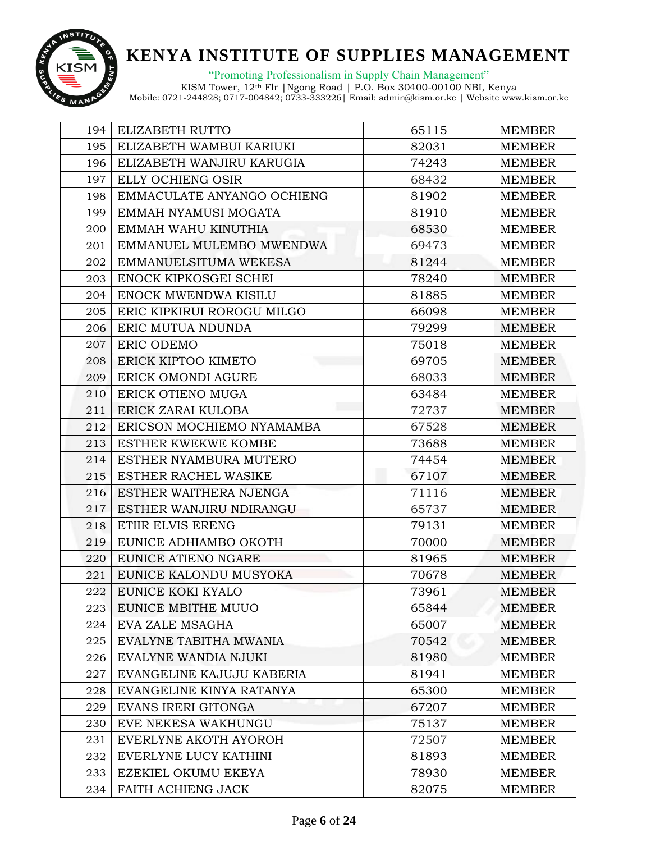

"Promoting Professionalism in Supply Chain Management"

| 194 | ELIZABETH RUTTO            | 65115 | <b>MEMBER</b> |
|-----|----------------------------|-------|---------------|
| 195 | ELIZABETH WAMBUI KARIUKI   | 82031 | <b>MEMBER</b> |
| 196 | ELIZABETH WANJIRU KARUGIA  | 74243 | <b>MEMBER</b> |
| 197 | ELLY OCHIENG OSIR          | 68432 | <b>MEMBER</b> |
| 198 | EMMACULATE ANYANGO OCHIENG | 81902 | <b>MEMBER</b> |
| 199 | EMMAH NYAMUSI MOGATA       | 81910 | <b>MEMBER</b> |
| 200 | EMMAH WAHU KINUTHIA        | 68530 | <b>MEMBER</b> |
| 201 | EMMANUEL MULEMBO MWENDWA   | 69473 | <b>MEMBER</b> |
| 202 | EMMANUELSITUMA WEKESA      | 81244 | <b>MEMBER</b> |
| 203 | ENOCK KIPKOSGEI SCHEI      | 78240 | <b>MEMBER</b> |
| 204 | ENOCK MWENDWA KISILU       | 81885 | <b>MEMBER</b> |
| 205 | ERIC KIPKIRUI ROROGU MILGO | 66098 | <b>MEMBER</b> |
| 206 | ERIC MUTUA NDUNDA          | 79299 | <b>MEMBER</b> |
| 207 | ERIC ODEMO                 | 75018 | <b>MEMBER</b> |
| 208 | ERICK KIPTOO KIMETO        | 69705 | <b>MEMBER</b> |
| 209 | ERICK OMONDI AGURE         | 68033 | <b>MEMBER</b> |
| 210 | ERICK OTIENO MUGA          | 63484 | <b>MEMBER</b> |
| 211 | ERICK ZARAI KULOBA         | 72737 | MEMBER        |
| 212 | ERICSON MOCHIEMO NYAMAMBA  | 67528 | <b>MEMBER</b> |
| 213 | ESTHER KWEKWE KOMBE        | 73688 | <b>MEMBER</b> |
| 214 | ESTHER NYAMBURA MUTERO     | 74454 | <b>MEMBER</b> |
| 215 | ESTHER RACHEL WASIKE       | 67107 | <b>MEMBER</b> |
| 216 | ESTHER WAITHERA NJENGA     | 71116 | <b>MEMBER</b> |
| 217 | ESTHER WANJIRU NDIRANGU    | 65737 | <b>MEMBER</b> |
| 218 | ETIIR ELVIS ERENG          | 79131 | <b>MEMBER</b> |
| 219 | EUNICE ADHIAMBO OKOTH      | 70000 | <b>MEMBER</b> |
| 220 | EUNICE ATIENO NGARE        | 81965 | <b>MEMBER</b> |
| 221 | EUNICE KALONDU MUSYOKA     | 70678 | <b>MEMBER</b> |
| 222 | EUNICE KOKI KYALO          | 73961 | <b>MEMBER</b> |
| 223 | EUNICE MBITHE MUUO         | 65844 | <b>MEMBER</b> |
| 224 | EVA ZALE MSAGHA            | 65007 | <b>MEMBER</b> |
| 225 | EVALYNE TABITHA MWANIA     | 70542 | <b>MEMBER</b> |
| 226 | EVALYNE WANDIA NJUKI       | 81980 | <b>MEMBER</b> |
| 227 | EVANGELINE KAJUJU KABERIA  | 81941 | <b>MEMBER</b> |
| 228 | EVANGELINE KINYA RATANYA   | 65300 | <b>MEMBER</b> |
| 229 | EVANS IRERI GITONGA        | 67207 | <b>MEMBER</b> |
| 230 | EVE NEKESA WAKHUNGU        | 75137 | MEMBER        |
| 231 | EVERLYNE AKOTH AYOROH      | 72507 | <b>MEMBER</b> |
| 232 | EVERLYNE LUCY KATHINI      | 81893 | <b>MEMBER</b> |
| 233 | EZEKIEL OKUMU EKEYA        | 78930 | <b>MEMBER</b> |
| 234 | FAITH ACHIENG JACK         | 82075 | <b>MEMBER</b> |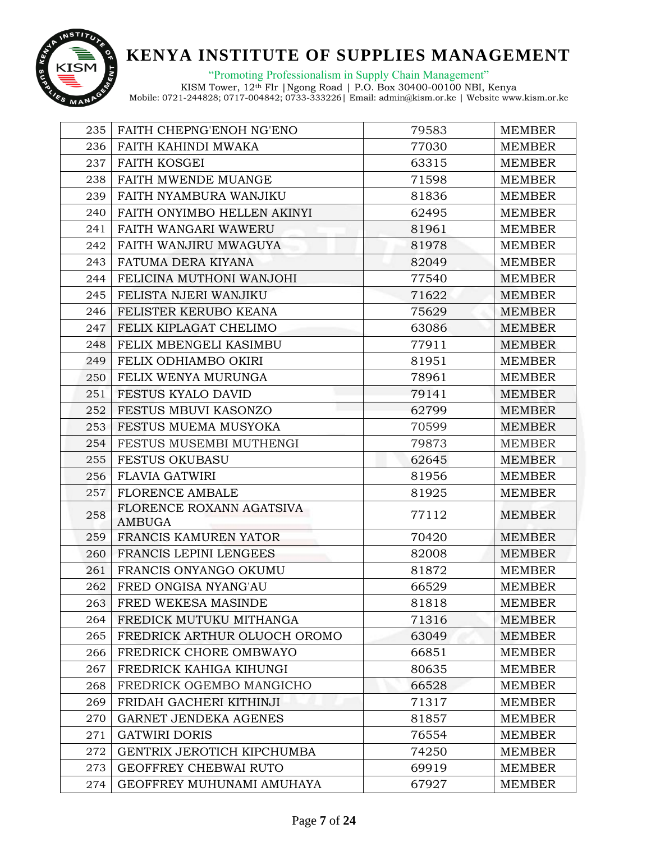

"Promoting Professionalism in Supply Chain Management"

| 235 | FAITH CHEPNG'ENOH NG'ENO           | 79583 | <b>MEMBER</b> |
|-----|------------------------------------|-------|---------------|
| 236 | FAITH KAHINDI MWAKA                | 77030 | <b>MEMBER</b> |
| 237 | <b>FAITH KOSGEI</b>                | 63315 | <b>MEMBER</b> |
| 238 | FAITH MWENDE MUANGE                | 71598 | <b>MEMBER</b> |
| 239 | FAITH NYAMBURA WANJIKU             | 81836 | <b>MEMBER</b> |
| 240 | FAITH ONYIMBO HELLEN AKINYI        | 62495 | <b>MEMBER</b> |
| 241 | <b>FAITH WANGARI WAWERU</b>        | 81961 | <b>MEMBER</b> |
| 242 | FAITH WANJIRU MWAGUYA              | 81978 | <b>MEMBER</b> |
| 243 | FATUMA DERA KIYANA                 | 82049 | <b>MEMBER</b> |
| 244 | FELICINA MUTHONI WANJOHI           | 77540 | <b>MEMBER</b> |
| 245 | FELISTA NJERI WANJIKU              | 71622 | <b>MEMBER</b> |
| 246 | FELISTER KERUBO KEANA              | 75629 | <b>MEMBER</b> |
| 247 | FELIX KIPLAGAT CHELIMO             | 63086 | <b>MEMBER</b> |
| 248 | FELIX MBENGELI KASIMBU             | 77911 | <b>MEMBER</b> |
| 249 | FELIX ODHIAMBO OKIRI               | 81951 | <b>MEMBER</b> |
| 250 | FELIX WENYA MURUNGA                | 78961 | <b>MEMBER</b> |
| 251 | FESTUS KYALO DAVID                 | 79141 | <b>MEMBER</b> |
| 252 | FESTUS MBUVI KASONZO               | 62799 | <b>MEMBER</b> |
| 253 | FESTUS MUEMA MUSYOKA               | 70599 | <b>MEMBER</b> |
| 254 | FESTUS MUSEMBI MUTHENGI            | 79873 | <b>MEMBER</b> |
| 255 | <b>FESTUS OKUBASU</b>              | 62645 | <b>MEMBER</b> |
| 256 | <b>FLAVIA GATWIRI</b>              | 81956 | <b>MEMBER</b> |
| 257 | <b>FLORENCE AMBALE</b>             | 81925 | <b>MEMBER</b> |
| 258 | FLORENCE ROXANN AGATSIVA<br>AMBUGA | 77112 | <b>MEMBER</b> |
| 259 | FRANCIS KAMUREN YATOR              | 70420 | <b>MEMBER</b> |
| 260 | FRANCIS LEPINI LENGEES             | 82008 | <b>MEMBER</b> |
| 261 | FRANCIS ONYANGO OKUMU              | 81872 | <b>MEMBER</b> |
| 262 | FRED ONGISA NYANG'AU               | 66529 | <b>MEMBER</b> |
| 263 | FRED WEKESA MASINDE                | 81818 | MEMBER        |
| 264 | FREDICK MUTUKU MITHANGA            | 71316 | <b>MEMBER</b> |
| 265 | FREDRICK ARTHUR OLUOCH OROMO       | 63049 | <b>MEMBER</b> |
| 266 | FREDRICK CHORE OMBWAYO             | 66851 | <b>MEMBER</b> |
| 267 | FREDRICK KAHIGA KIHUNGI            | 80635 | <b>MEMBER</b> |
| 268 | FREDRICK OGEMBO MANGICHO           | 66528 | MEMBER        |
| 269 | FRIDAH GACHERI KITHINJI            | 71317 | <b>MEMBER</b> |
| 270 | <b>GARNET JENDEKA AGENES</b>       | 81857 | <b>MEMBER</b> |
| 271 | <b>GATWIRI DORIS</b>               | 76554 | <b>MEMBER</b> |
| 272 | GENTRIX JEROTICH KIPCHUMBA         | 74250 | <b>MEMBER</b> |
| 273 | GEOFFREY CHEBWAI RUTO              | 69919 | <b>MEMBER</b> |
| 274 | GEOFFREY MUHUNAMI AMUHAYA          | 67927 | <b>MEMBER</b> |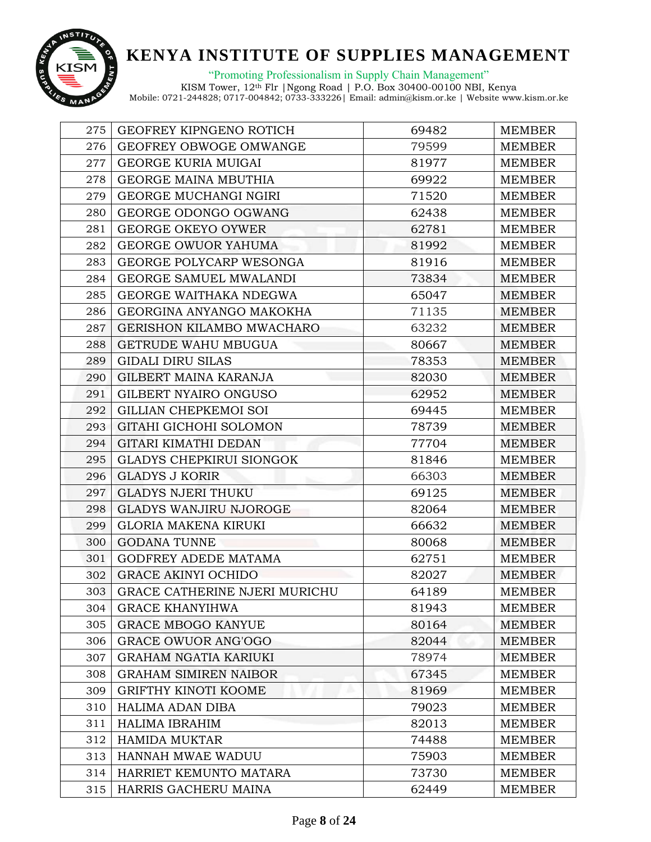

"Promoting Professionalism in Supply Chain Management"

| 275 | GEOFREY KIPNGENO ROTICH              | 69482 | <b>MEMBER</b> |
|-----|--------------------------------------|-------|---------------|
| 276 | GEOFREY OBWOGE OMWANGE               | 79599 | <b>MEMBER</b> |
| 277 | GEORGE KURIA MUIGAI                  | 81977 | <b>MEMBER</b> |
| 278 | <b>GEORGE MAINA MBUTHIA</b>          | 69922 | <b>MEMBER</b> |
| 279 | GEORGE MUCHANGI NGIRI                | 71520 | <b>MEMBER</b> |
| 280 | GEORGE ODONGO OGWANG                 | 62438 | <b>MEMBER</b> |
| 281 | <b>GEORGE OKEYO OYWER</b>            | 62781 | <b>MEMBER</b> |
| 282 | <b>GEORGE OWUOR YAHUMA</b>           | 81992 | <b>MEMBER</b> |
| 283 | GEORGE POLYCARP WESONGA              | 81916 | <b>MEMBER</b> |
| 284 | GEORGE SAMUEL MWALANDI               | 73834 | <b>MEMBER</b> |
| 285 | GEORGE WAITHAKA NDEGWA               | 65047 | <b>MEMBER</b> |
| 286 | GEORGINA ANYANGO MAKOKHA             | 71135 | <b>MEMBER</b> |
| 287 | GERISHON KILAMBO MWACHARO            | 63232 | MEMBER        |
| 288 | GETRUDE WAHU MBUGUA                  | 80667 | <b>MEMBER</b> |
| 289 | <b>GIDALI DIRU SILAS</b>             | 78353 | <b>MEMBER</b> |
| 290 | GILBERT MAINA KARANJA                | 82030 | <b>MEMBER</b> |
| 291 | GILBERT NYAIRO ONGUSO                | 62952 | <b>MEMBER</b> |
| 292 | GILLIAN CHEPKEMOI SOI                | 69445 | <b>MEMBER</b> |
| 293 | GITAHI GICHOHI SOLOMON               | 78739 | <b>MEMBER</b> |
| 294 | GITARI KIMATHI DEDAN                 | 77704 | <b>MEMBER</b> |
| 295 | <b>GLADYS CHEPKIRUI SIONGOK</b>      | 81846 | <b>MEMBER</b> |
| 296 | <b>GLADYS J KORIR</b>                | 66303 | <b>MEMBER</b> |
| 297 | <b>GLADYS NJERI THUKU</b>            | 69125 | <b>MEMBER</b> |
| 298 | <b>GLADYS WANJIRU NJOROGE</b>        | 82064 | <b>MEMBER</b> |
| 299 | <b>GLORIA MAKENA KIRUKI</b>          | 66632 | <b>MEMBER</b> |
| 300 | <b>GODANA TUNNE</b>                  | 80068 | <b>MEMBER</b> |
| 301 | GODFREY ADEDE MATAMA                 | 62751 | <b>MEMBER</b> |
| 302 | <b>GRACE AKINYI OCHIDO</b>           | 82027 | <b>MEMBER</b> |
| 303 | <b>GRACE CATHERINE NJERI MURICHU</b> | 64189 | <b>MEMBER</b> |
| 304 | <b>GRACE KHANYIHWA</b>               | 81943 | <b>MEMBER</b> |
| 305 | <b>GRACE MBOGO KANYUE</b>            | 80164 | <b>MEMBER</b> |
| 306 | <b>GRACE OWUOR ANG'OGO</b>           | 82044 | <b>MEMBER</b> |
| 307 | <b>GRAHAM NGATIA KARIUKI</b>         | 78974 | <b>MEMBER</b> |
| 308 | <b>GRAHAM SIMIREN NAIBOR</b>         | 67345 | <b>MEMBER</b> |
| 309 | <b>GRIFTHY KINOTI KOOME</b>          | 81969 | <b>MEMBER</b> |
| 310 | <b>HALIMA ADAN DIBA</b>              | 79023 | <b>MEMBER</b> |
| 311 | <b>HALIMA IBRAHIM</b>                | 82013 | <b>MEMBER</b> |
| 312 | <b>HAMIDA MUKTAR</b>                 | 74488 | <b>MEMBER</b> |
| 313 | HANNAH MWAE WADUU                    | 75903 | <b>MEMBER</b> |
| 314 | HARRIET KEMUNTO MATARA               | 73730 | <b>MEMBER</b> |
| 315 | HARRIS GACHERU MAINA                 | 62449 | <b>MEMBER</b> |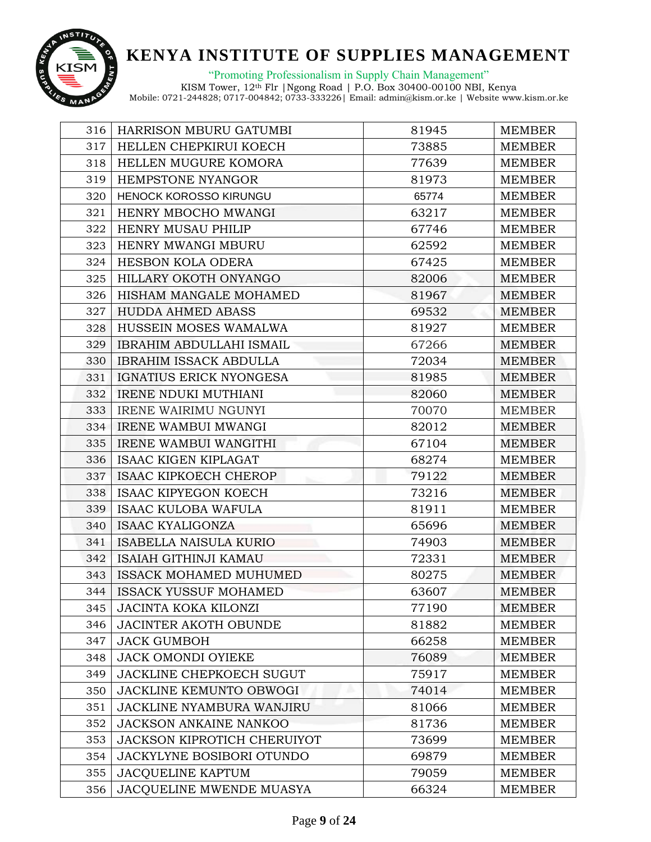

"Promoting Professionalism in Supply Chain Management"

| 316 | <b>HARRISON MBURU GATUMBI</b>      | 81945 | <b>MEMBER</b> |
|-----|------------------------------------|-------|---------------|
| 317 | HELLEN CHEPKIRUI KOECH             | 73885 | <b>MEMBER</b> |
| 318 | HELLEN MUGURE KOMORA               | 77639 | <b>MEMBER</b> |
| 319 | HEMPSTONE NYANGOR                  | 81973 | <b>MEMBER</b> |
| 320 | <b>HENOCK KOROSSO KIRUNGU</b>      | 65774 | <b>MEMBER</b> |
| 321 | HENRY MBOCHO MWANGI                | 63217 | <b>MEMBER</b> |
| 322 | <b>HENRY MUSAU PHILIP</b>          | 67746 | <b>MEMBER</b> |
| 323 | HENRY MWANGI MBURU                 | 62592 | <b>MEMBER</b> |
| 324 | HESBON KOLA ODERA                  | 67425 | <b>MEMBER</b> |
| 325 | HILLARY OKOTH ONYANGO              | 82006 | <b>MEMBER</b> |
| 326 | HISHAM MANGALE MOHAMED             | 81967 | <b>MEMBER</b> |
| 327 | <b>HUDDA AHMED ABASS</b>           | 69532 | <b>MEMBER</b> |
| 328 | HUSSEIN MOSES WAMALWA              | 81927 | <b>MEMBER</b> |
| 329 | <b>IBRAHIM ABDULLAHI ISMAIL</b>    | 67266 | <b>MEMBER</b> |
| 330 | <b>IBRAHIM ISSACK ABDULLA</b>      | 72034 | <b>MEMBER</b> |
| 331 | IGNATIUS ERICK NYONGESA            | 81985 | <b>MEMBER</b> |
| 332 | <b>IRENE NDUKI MUTHIANI</b>        | 82060 | <b>MEMBER</b> |
| 333 | <b>IRENE WAIRIMU NGUNYI</b>        | 70070 | <b>MEMBER</b> |
| 334 | <b>IRENE WAMBUI MWANGI</b>         | 82012 | <b>MEMBER</b> |
| 335 | IRENE WAMBUI WANGITHI              | 67104 | <b>MEMBER</b> |
| 336 | <b>ISAAC KIGEN KIPLAGAT</b>        | 68274 | <b>MEMBER</b> |
| 337 | <b>ISAAC KIPKOECH CHEROP</b>       | 79122 | <b>MEMBER</b> |
| 338 | <b>ISAAC KIPYEGON KOECH</b>        | 73216 | <b>MEMBER</b> |
| 339 | <b>ISAAC KULOBA WAFULA</b>         | 81911 | <b>MEMBER</b> |
| 340 | <b>ISAAC KYALIGONZA</b>            | 65696 | <b>MEMBER</b> |
| 341 | <b>ISABELLA NAISULA KURIO</b>      | 74903 | <b>MEMBER</b> |
| 342 | <b>ISAIAH GITHINJI KAMAU</b>       | 72331 | <b>MEMBER</b> |
| 343 | <b>ISSACK MOHAMED MUHUMED</b>      | 80275 | <b>MEMBER</b> |
| 344 | <b>ISSACK YUSSUF MOHAMED</b>       | 63607 | <b>MEMBER</b> |
| 345 | <b>JACINTA KOKA KILONZI</b>        | 77190 | <b>MEMBER</b> |
| 346 | <b>JACINTER AKOTH OBUNDE</b>       | 81882 | <b>MEMBER</b> |
| 347 | <b>JACK GUMBOH</b>                 | 66258 | <b>MEMBER</b> |
| 348 | <b>JACK OMONDI OYIEKE</b>          | 76089 | <b>MEMBER</b> |
| 349 | <b>JACKLINE CHEPKOECH SUGUT</b>    | 75917 | <b>MEMBER</b> |
| 350 | <b>JACKLINE KEMUNTO OBWOGI</b>     | 74014 | <b>MEMBER</b> |
| 351 | <b>JACKLINE NYAMBURA WANJIRU</b>   | 81066 | <b>MEMBER</b> |
| 352 | <b>JACKSON ANKAINE NANKOO</b>      | 81736 | <b>MEMBER</b> |
| 353 | <b>JACKSON KIPROTICH CHERUIYOT</b> | 73699 | <b>MEMBER</b> |
| 354 | JACKYLYNE BOSIBORI OTUNDO          | 69879 | <b>MEMBER</b> |
| 355 | <b>JACQUELINE KAPTUM</b>           | 79059 | <b>MEMBER</b> |
| 356 | JACQUELINE MWENDE MUASYA           | 66324 | <b>MEMBER</b> |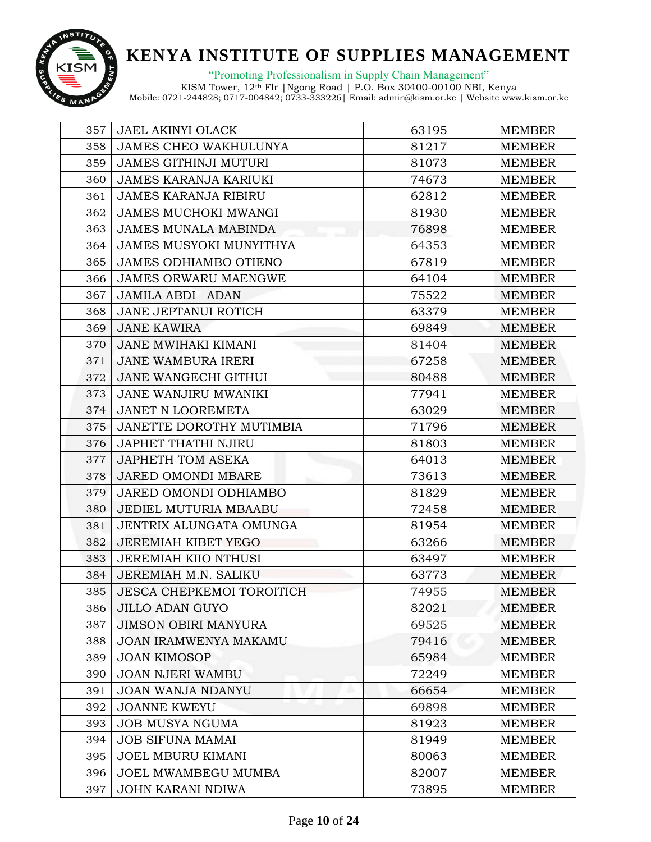

"Promoting Professionalism in Supply Chain Management"

| 357 | <b>JAEL AKINYI OLACK</b>         | 63195 | <b>MEMBER</b> |
|-----|----------------------------------|-------|---------------|
| 358 | <b>JAMES CHEO WAKHULUNYA</b>     | 81217 | <b>MEMBER</b> |
| 359 | <b>JAMES GITHINJI MUTURI</b>     | 81073 | <b>MEMBER</b> |
| 360 | <b>JAMES KARANJA KARIUKI</b>     | 74673 | <b>MEMBER</b> |
| 361 | <b>JAMES KARANJA RIBIRU</b>      | 62812 | <b>MEMBER</b> |
| 362 | <b>JAMES MUCHOKI MWANGI</b>      | 81930 | <b>MEMBER</b> |
| 363 | <b>JAMES MUNALA MABINDA</b>      | 76898 | <b>MEMBER</b> |
| 364 | <b>JAMES MUSYOKI MUNYITHYA</b>   | 64353 | <b>MEMBER</b> |
| 365 | <b>JAMES ODHIAMBO OTIENO</b>     | 67819 | <b>MEMBER</b> |
| 366 | <b>JAMES ORWARU MAENGWE</b>      | 64104 | <b>MEMBER</b> |
| 367 | <b>JAMILA ABDI ADAN</b>          | 75522 | <b>MEMBER</b> |
| 368 | JANE JEPTANUI ROTICH             | 63379 | <b>MEMBER</b> |
| 369 | <b>JANE KAWIRA</b>               | 69849 | <b>MEMBER</b> |
| 370 | <b>JANE MWIHAKI KIMANI</b>       | 81404 | MEMBER        |
| 371 | <b>JANE WAMBURA IRERI</b>        | 67258 | <b>MEMBER</b> |
| 372 | <b>JANE WANGECHI GITHUI</b>      | 80488 | <b>MEMBER</b> |
| 373 | JANE WANJIRU MWANIKI             | 77941 | <b>MEMBER</b> |
| 374 | <b>JANET N LOOREMETA</b>         | 63029 | <b>MEMBER</b> |
| 375 | JANETTE DOROTHY MUTIMBIA         | 71796 | <b>MEMBER</b> |
| 376 | <b>JAPHET THATHI NJIRU</b>       | 81803 | <b>MEMBER</b> |
| 377 | <b>JAPHETH TOM ASEKA</b>         | 64013 | <b>MEMBER</b> |
| 378 | JARED OMONDI MBARE               | 73613 | <b>MEMBER</b> |
| 379 | JARED OMONDI ODHIAMBO            | 81829 | <b>MEMBER</b> |
| 380 | JEDIEL MUTURIA MBAABU            | 72458 | <b>MEMBER</b> |
| 381 | JENTRIX ALUNGATA OMUNGA          | 81954 | <b>MEMBER</b> |
| 382 | <b>JEREMIAH KIBET YEGO</b>       | 63266 | <b>MEMBER</b> |
| 383 | <b>JEREMIAH KIIO NTHUSI</b>      | 63497 | <b>MEMBER</b> |
| 384 | JEREMIAH M.N. SALIKU             | 63773 | <b>MEMBER</b> |
| 385 | <b>JESCA CHEPKEMOI TOROITICH</b> | 74955 | <b>MEMBER</b> |
| 386 | <b>JILLO ADAN GUYO</b>           | 82021 | <b>MEMBER</b> |
| 387 | <b>JIMSON OBIRI MANYURA</b>      | 69525 | <b>MEMBER</b> |
| 388 | <b>JOAN IRAMWENYA MAKAMU</b>     | 79416 | <b>MEMBER</b> |
| 389 | <b>JOAN KIMOSOP</b>              | 65984 | <b>MEMBER</b> |
| 390 | <b>JOAN NJERI WAMBU</b>          | 72249 | <b>MEMBER</b> |
| 391 | <b>JOAN WANJA NDANYU</b>         | 66654 | <b>MEMBER</b> |
| 392 | <b>JOANNE KWEYU</b>              | 69898 | <b>MEMBER</b> |
| 393 | <b>JOB MUSYA NGUMA</b>           | 81923 | <b>MEMBER</b> |
| 394 | <b>JOB SIFUNA MAMAI</b>          | 81949 | <b>MEMBER</b> |
| 395 | <b>JOEL MBURU KIMANI</b>         | 80063 | <b>MEMBER</b> |
| 396 | JOEL MWAMBEGU MUMBA              | 82007 | <b>MEMBER</b> |
| 397 | <b>JOHN KARANI NDIWA</b>         | 73895 | <b>MEMBER</b> |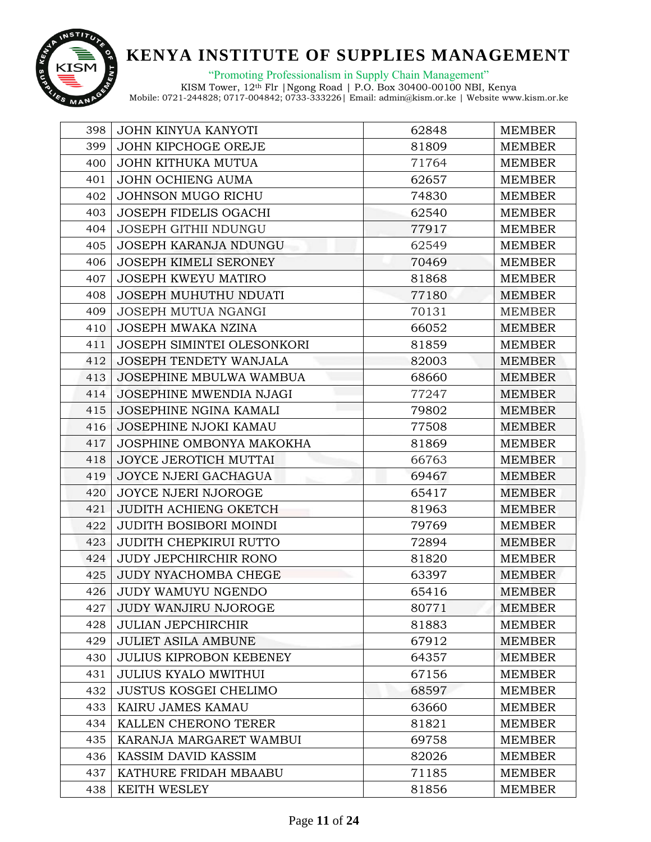

"Promoting Professionalism in Supply Chain Management"

| 398 | <b>JOHN KINYUA KANYOTI</b>     | 62848 | <b>MEMBER</b> |
|-----|--------------------------------|-------|---------------|
| 399 | JOHN KIPCHOGE OREJE            | 81809 | <b>MEMBER</b> |
| 400 | <b>JOHN KITHUKA MUTUA</b>      | 71764 | <b>MEMBER</b> |
| 401 | JOHN OCHIENG AUMA              | 62657 | <b>MEMBER</b> |
| 402 | JOHNSON MUGO RICHU             | 74830 | <b>MEMBER</b> |
| 403 | <b>JOSEPH FIDELIS OGACHI</b>   | 62540 | <b>MEMBER</b> |
| 404 | <b>JOSEPH GITHII NDUNGU</b>    | 77917 | <b>MEMBER</b> |
| 405 | <b>JOSEPH KARANJA NDUNGU</b>   | 62549 | <b>MEMBER</b> |
| 406 | <b>JOSEPH KIMELI SERONEY</b>   | 70469 | <b>MEMBER</b> |
| 407 | <b>JOSEPH KWEYU MATIRO</b>     | 81868 | <b>MEMBER</b> |
| 408 | <b>JOSEPH MUHUTHU NDUATI</b>   | 77180 | <b>MEMBER</b> |
| 409 | JOSEPH MUTUA NGANGI            | 70131 | <b>MEMBER</b> |
| 410 | JOSEPH MWAKA NZINA             | 66052 | <b>MEMBER</b> |
| 411 | JOSEPH SIMINTEI OLESONKORI     | 81859 | <b>MEMBER</b> |
| 412 | <b>JOSEPH TENDETY WANJALA</b>  | 82003 | <b>MEMBER</b> |
| 413 | JOSEPHINE MBULWA WAMBUA        | 68660 | <b>MEMBER</b> |
| 414 | JOSEPHINE MWENDIA NJAGI        | 77247 | <b>MEMBER</b> |
| 415 | <b>JOSEPHINE NGINA KAMALI</b>  | 79802 | <b>MEMBER</b> |
| 416 | JOSEPHINE NJOKI KAMAU          | 77508 | <b>MEMBER</b> |
| 417 | JOSPHINE OMBONYA MAKOKHA       | 81869 | <b>MEMBER</b> |
| 418 | JOYCE JEROTICH MUTTAI          | 66763 | <b>MEMBER</b> |
| 419 | JOYCE NJERI GACHAGUA           | 69467 | <b>MEMBER</b> |
| 420 | JOYCE NJERI NJOROGE            | 65417 | <b>MEMBER</b> |
| 421 | <b>JUDITH ACHIENG OKETCH</b>   | 81963 | <b>MEMBER</b> |
| 422 | <b>JUDITH BOSIBORI MOINDI</b>  | 79769 | <b>MEMBER</b> |
| 423 | <b>JUDITH CHEPKIRUI RUTTO</b>  | 72894 | <b>MEMBER</b> |
| 424 | <b>JUDY JEPCHIRCHIR RONO</b>   | 81820 | <b>MEMBER</b> |
| 425 | <b>JUDY NYACHOMBA CHEGE</b>    | 63397 | <b>MEMBER</b> |
| 426 | <b>JUDY WAMUYU NGENDO</b>      | 65416 | <b>MEMBER</b> |
| 427 | <b>JUDY WANJIRU NJOROGE</b>    | 80771 | <b>MEMBER</b> |
| 428 | <b>JULIAN JEPCHIRCHIR</b>      | 81883 | <b>MEMBER</b> |
| 429 | <b>JULIET ASILA AMBUNE</b>     | 67912 | <b>MEMBER</b> |
| 430 | <b>JULIUS KIPROBON KEBENEY</b> | 64357 | <b>MEMBER</b> |
| 431 | <b>JULIUS KYALO MWITHUI</b>    | 67156 | <b>MEMBER</b> |
| 432 | <b>JUSTUS KOSGEI CHELIMO</b>   | 68597 | <b>MEMBER</b> |
| 433 | KAIRU JAMES KAMAU              | 63660 | <b>MEMBER</b> |
| 434 | KALLEN CHERONO TERER           | 81821 | <b>MEMBER</b> |
| 435 | KARANJA MARGARET WAMBUI        | 69758 | <b>MEMBER</b> |
| 436 | KASSIM DAVID KASSIM            | 82026 | <b>MEMBER</b> |
| 437 | KATHURE FRIDAH MBAABU          | 71185 | <b>MEMBER</b> |
| 438 | KEITH WESLEY                   | 81856 | <b>MEMBER</b> |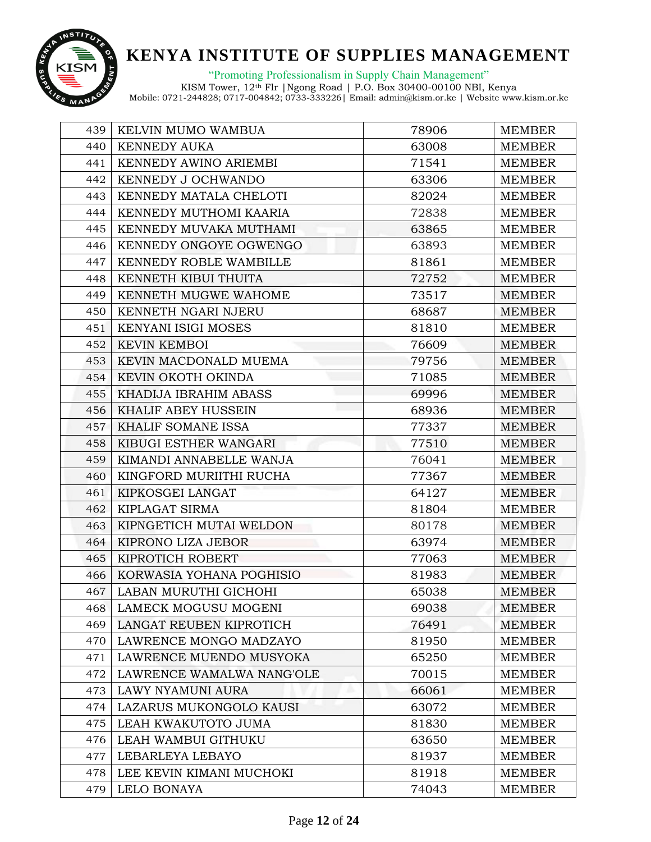

"Promoting Professionalism in Supply Chain Management"

| 439 | KELVIN MUMO WAMBUA          | 78906 | <b>MEMBER</b> |
|-----|-----------------------------|-------|---------------|
| 440 | <b>KENNEDY AUKA</b>         | 63008 | <b>MEMBER</b> |
| 441 | KENNEDY AWINO ARIEMBI       | 71541 | <b>MEMBER</b> |
| 442 | KENNEDY J OCHWANDO          | 63306 | <b>MEMBER</b> |
| 443 | KENNEDY MATALA CHELOTI      | 82024 | <b>MEMBER</b> |
| 444 | KENNEDY MUTHOMI KAARIA      | 72838 | <b>MEMBER</b> |
| 445 | KENNEDY MUVAKA MUTHAMI      | 63865 | <b>MEMBER</b> |
| 446 | KENNEDY ONGOYE OGWENGO      | 63893 | <b>MEMBER</b> |
| 447 | KENNEDY ROBLE WAMBILLE      | 81861 | <b>MEMBER</b> |
| 448 | KENNETH KIBUI THUITA        | 72752 | <b>MEMBER</b> |
| 449 | KENNETH MUGWE WAHOME        | 73517 | <b>MEMBER</b> |
| 450 | KENNETH NGARI NJERU         | 68687 | <b>MEMBER</b> |
| 451 | <b>KENYANI ISIGI MOSES</b>  | 81810 | <b>MEMBER</b> |
| 452 | <b>KEVIN KEMBOI</b>         | 76609 | <b>MEMBER</b> |
| 453 | KEVIN MACDONALD MUEMA       | 79756 | <b>MEMBER</b> |
| 454 | KEVIN OKOTH OKINDA          | 71085 | <b>MEMBER</b> |
| 455 | KHADIJA IBRAHIM ABASS       | 69996 | <b>MEMBER</b> |
| 456 | <b>KHALIF ABEY HUSSEIN</b>  | 68936 | <b>MEMBER</b> |
| 457 | KHALIF SOMANE ISSA          | 77337 | <b>MEMBER</b> |
| 458 | KIBUGI ESTHER WANGARI       | 77510 | <b>MEMBER</b> |
| 459 | KIMANDI ANNABELLE WANJA     | 76041 | <b>MEMBER</b> |
| 460 | KINGFORD MURIITHI RUCHA     | 77367 | <b>MEMBER</b> |
| 461 | KIPKOSGEI LANGAT            | 64127 | <b>MEMBER</b> |
| 462 | KIPLAGAT SIRMA              | 81804 | <b>MEMBER</b> |
| 463 | KIPNGETICH MUTAI WELDON     | 80178 | <b>MEMBER</b> |
| 464 | KIPRONO LIZA JEBOR          | 63974 | <b>MEMBER</b> |
| 465 | KIPROTICH ROBERT            | 77063 | <b>MEMBER</b> |
| 466 | KORWASIA YOHANA POGHISIO    | 81983 | <b>MEMBER</b> |
| 467 | LABAN MURUTHI GICHOHI       | 65038 | <b>MEMBER</b> |
| 468 | <b>LAMECK MOGUSU MOGENI</b> | 69038 | <b>MEMBER</b> |
| 469 | LANGAT REUBEN KIPROTICH     | 76491 | <b>MEMBER</b> |
| 470 | LAWRENCE MONGO MADZAYO      | 81950 | <b>MEMBER</b> |
| 471 | LAWRENCE MUENDO MUSYOKA     | 65250 | <b>MEMBER</b> |
| 472 | LAWRENCE WAMALWA NANG'OLE   | 70015 | <b>MEMBER</b> |
| 473 | <b>LAWY NYAMUNI AURA</b>    | 66061 | <b>MEMBER</b> |
| 474 | LAZARUS MUKONGOLO KAUSI     | 63072 | <b>MEMBER</b> |
| 475 | LEAH KWAKUTOTO JUMA         | 81830 | <b>MEMBER</b> |
| 476 | LEAH WAMBUI GITHUKU         | 63650 | <b>MEMBER</b> |
| 477 | LEBARLEYA LEBAYO            | 81937 | <b>MEMBER</b> |
| 478 | LEE KEVIN KIMANI MUCHOKI    | 81918 | <b>MEMBER</b> |
| 479 | LELO BONAYA                 | 74043 | <b>MEMBER</b> |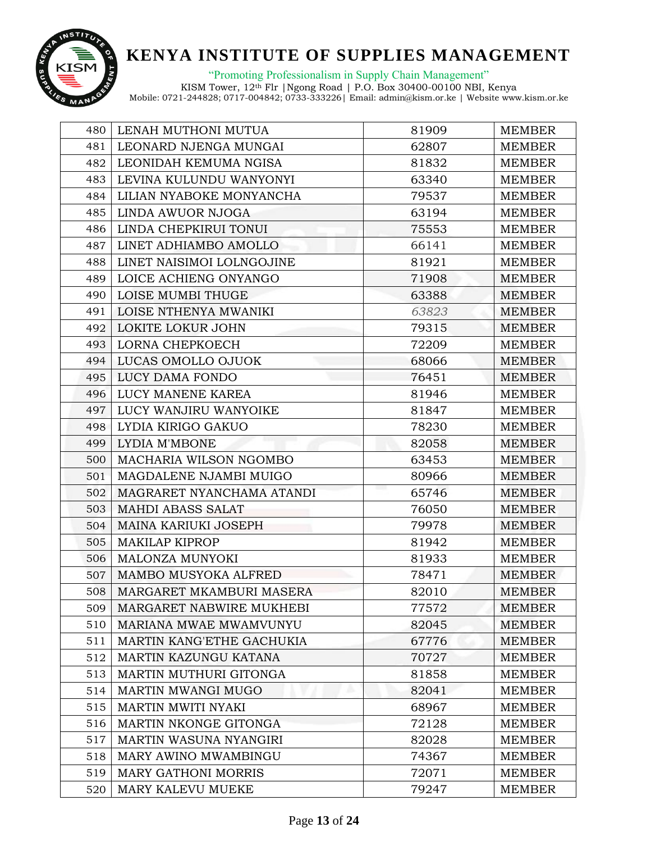

"Promoting Professionalism in Supply Chain Management"

| 480 | LENAH MUTHONI MUTUA        | 81909 | <b>MEMBER</b> |
|-----|----------------------------|-------|---------------|
| 481 | LEONARD NJENGA MUNGAI      | 62807 | <b>MEMBER</b> |
| 482 | LEONIDAH KEMUMA NGISA      | 81832 | <b>MEMBER</b> |
| 483 | LEVINA KULUNDU WANYONYI    | 63340 | <b>MEMBER</b> |
| 484 | LILIAN NYABOKE MONYANCHA   | 79537 | <b>MEMBER</b> |
| 485 | LINDA AWUOR NJOGA          | 63194 | <b>MEMBER</b> |
| 486 | LINDA CHEPKIRUI TONUI      | 75553 | <b>MEMBER</b> |
| 487 | LINET ADHIAMBO AMOLLO      | 66141 | <b>MEMBER</b> |
| 488 | LINET NAISIMOI LOLNGOJINE  | 81921 | <b>MEMBER</b> |
| 489 | LOICE ACHIENG ONYANGO      | 71908 | <b>MEMBER</b> |
| 490 | LOISE MUMBI THUGE          | 63388 | <b>MEMBER</b> |
| 491 | LOISE NTHENYA MWANIKI      | 63823 | <b>MEMBER</b> |
| 492 | LOKITE LOKUR JOHN          | 79315 | MEMBER        |
| 493 | LORNA CHEPKOECH            | 72209 | <b>MEMBER</b> |
| 494 | LUCAS OMOLLO OJUOK         | 68066 | <b>MEMBER</b> |
| 495 | LUCY DAMA FONDO            | 76451 | <b>MEMBER</b> |
| 496 | LUCY MANENE KAREA          | 81946 | <b>MEMBER</b> |
| 497 | LUCY WANJIRU WANYOIKE      | 81847 | <b>MEMBER</b> |
| 498 | LYDIA KIRIGO GAKUO         | 78230 | <b>MEMBER</b> |
| 499 | LYDIA M'MBONE              | 82058 | <b>MEMBER</b> |
| 500 | MACHARIA WILSON NGOMBO     | 63453 | <b>MEMBER</b> |
| 501 | MAGDALENE NJAMBI MUIGO     | 80966 | <b>MEMBER</b> |
| 502 | MAGRARET NYANCHAMA ATANDI  | 65746 | <b>MEMBER</b> |
| 503 | <b>MAHDI ABASS SALAT</b>   | 76050 | <b>MEMBER</b> |
| 504 | MAINA KARIUKI JOSEPH       | 79978 | <b>MEMBER</b> |
| 505 | <b>MAKILAP KIPROP</b>      | 81942 | <b>MEMBER</b> |
| 506 | MALONZA MUNYOKI            | 81933 | <b>MEMBER</b> |
| 507 | MAMBO MUSYOKA ALFRED       | 78471 | <b>MEMBER</b> |
| 508 | MARGARET MKAMBURI MASERA   | 82010 | <b>MEMBER</b> |
| 509 | MARGARET NABWIRE MUKHEBI   | 77572 | <b>MEMBER</b> |
| 510 | MARIANA MWAE MWAMVUNYU     | 82045 | <b>MEMBER</b> |
| 511 | MARTIN KANG'ETHE GACHUKIA  | 67776 | <b>MEMBER</b> |
| 512 | MARTIN KAZUNGU KATANA      | 70727 | <b>MEMBER</b> |
| 513 | MARTIN MUTHURI GITONGA     | 81858 | <b>MEMBER</b> |
| 514 | <b>MARTIN MWANGI MUGO</b>  | 82041 | <b>MEMBER</b> |
| 515 | MARTIN MWITI NYAKI         | 68967 | <b>MEMBER</b> |
| 516 | MARTIN NKONGE GITONGA      | 72128 | <b>MEMBER</b> |
| 517 | MARTIN WASUNA NYANGIRI     | 82028 | <b>MEMBER</b> |
| 518 | MARY AWINO MWAMBINGU       | 74367 | <b>MEMBER</b> |
| 519 | <b>MARY GATHONI MORRIS</b> | 72071 | <b>MEMBER</b> |
| 520 | MARY KALEVU MUEKE          | 79247 | <b>MEMBER</b> |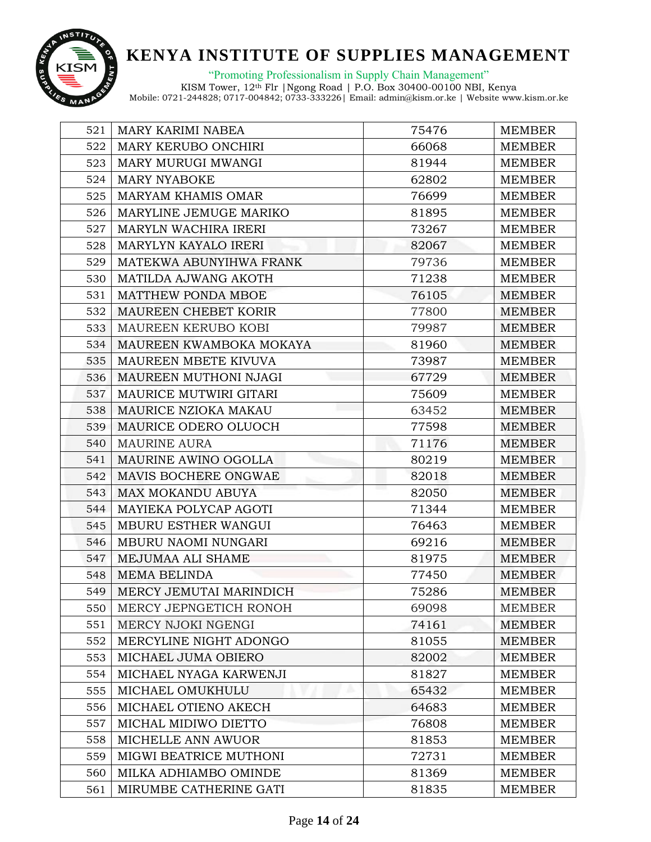

"Promoting Professionalism in Supply Chain Management"

| 521 | <b>MARY KARIMI NABEA</b>  | 75476 | <b>MEMBER</b> |
|-----|---------------------------|-------|---------------|
| 522 | MARY KERUBO ONCHIRI       | 66068 | <b>MEMBER</b> |
| 523 | MARY MURUGI MWANGI        | 81944 | <b>MEMBER</b> |
| 524 | <b>MARY NYABOKE</b>       | 62802 | <b>MEMBER</b> |
| 525 | <b>MARYAM KHAMIS OMAR</b> | 76699 | <b>MEMBER</b> |
| 526 | MARYLINE JEMUGE MARIKO    | 81895 | <b>MEMBER</b> |
| 527 | MARYLN WACHIRA IRERI      | 73267 | <b>MEMBER</b> |
| 528 | MARYLYN KAYALO IRERI      | 82067 | <b>MEMBER</b> |
| 529 | MATEKWA ABUNYIHWA FRANK   | 79736 | <b>MEMBER</b> |
| 530 | MATILDA AJWANG AKOTH      | 71238 | <b>MEMBER</b> |
| 531 | MATTHEW PONDA MBOE        | 76105 | <b>MEMBER</b> |
| 532 | MAUREEN CHEBET KORIR      | 77800 | <b>MEMBER</b> |
| 533 | MAUREEN KERUBO KOBI       | 79987 | <b>MEMBER</b> |
| 534 | MAUREEN KWAMBOKA MOKAYA   | 81960 | <b>MEMBER</b> |
| 535 | MAUREEN MBETE KIVUVA      | 73987 | <b>MEMBER</b> |
| 536 | MAUREEN MUTHONI NJAGI     | 67729 | <b>MEMBER</b> |
| 537 | MAURICE MUTWIRI GITARI    | 75609 | <b>MEMBER</b> |
| 538 | MAURICE NZIOKA MAKAU      | 63452 | <b>MEMBER</b> |
| 539 | MAURICE ODERO OLUOCH      | 77598 | <b>MEMBER</b> |
| 540 | <b>MAURINE AURA</b>       | 71176 | <b>MEMBER</b> |
| 541 | MAURINE AWINO OGOLLA      | 80219 | MEMBER        |
| 542 | MAVIS BOCHERE ONGWAE      | 82018 | <b>MEMBER</b> |
| 543 | <b>MAX MOKANDU ABUYA</b>  | 82050 | <b>MEMBER</b> |
| 544 | MAYIEKA POLYCAP AGOTI     | 71344 | <b>MEMBER</b> |
| 545 | MBURU ESTHER WANGUI       | 76463 | <b>MEMBER</b> |
| 546 | MBURU NAOMI NUNGARI       | 69216 | <b>MEMBER</b> |
| 547 | MEJUMAA ALI SHAME         | 81975 | <b>MEMBER</b> |
| 548 | <b>MEMA BELINDA</b>       | 77450 | <b>MEMBER</b> |
| 549 | MERCY JEMUTAI MARINDICH   | 75286 | <b>MEMBER</b> |
| 550 | MERCY JEPNGETICH RONOH    | 69098 | <b>MEMBER</b> |
| 551 | MERCY NJOKI NGENGI        | 74161 | <b>MEMBER</b> |
| 552 | MERCYLINE NIGHT ADONGO    | 81055 | <b>MEMBER</b> |
| 553 | MICHAEL JUMA OBIERO       | 82002 | <b>MEMBER</b> |
| 554 | MICHAEL NYAGA KARWENJI    | 81827 | <b>MEMBER</b> |
| 555 | MICHAEL OMUKHULU          | 65432 | <b>MEMBER</b> |
| 556 | MICHAEL OTIENO AKECH      | 64683 | <b>MEMBER</b> |
| 557 | MICHAL MIDIWO DIETTO      | 76808 | <b>MEMBER</b> |
| 558 | MICHELLE ANN AWUOR        | 81853 | <b>MEMBER</b> |
| 559 | MIGWI BEATRICE MUTHONI    | 72731 | <b>MEMBER</b> |
| 560 | MILKA ADHIAMBO OMINDE     | 81369 | <b>MEMBER</b> |
| 561 | MIRUMBE CATHERINE GATI    | 81835 | <b>MEMBER</b> |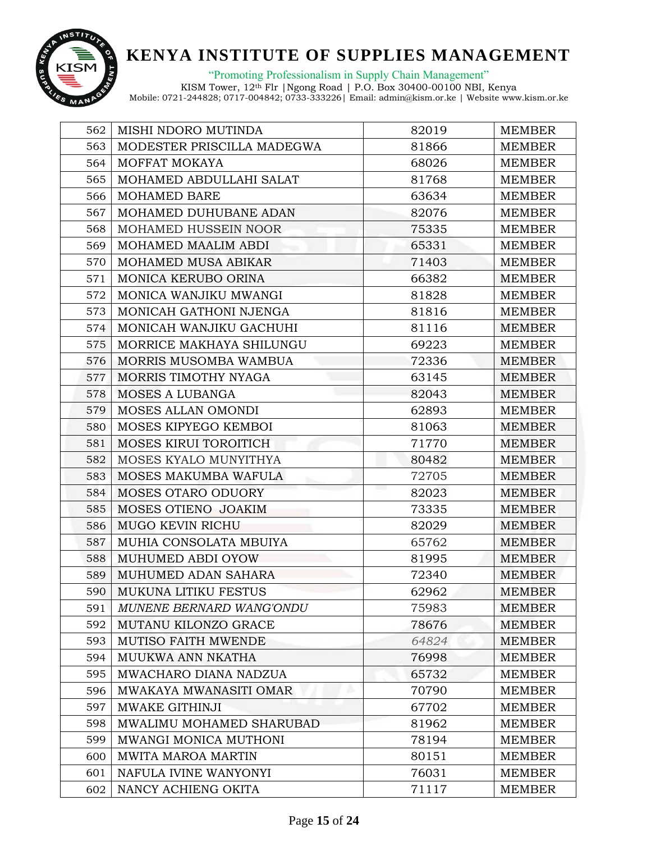

"Promoting Professionalism in Supply Chain Management"

| 562 | MISHI NDORO MUTINDA         | 82019 | <b>MEMBER</b> |
|-----|-----------------------------|-------|---------------|
| 563 | MODESTER PRISCILLA MADEGWA  | 81866 | <b>MEMBER</b> |
| 564 | MOFFAT MOKAYA               | 68026 | <b>MEMBER</b> |
| 565 | MOHAMED ABDULLAHI SALAT     | 81768 | <b>MEMBER</b> |
| 566 | MOHAMED BARE                | 63634 | <b>MEMBER</b> |
| 567 | MOHAMED DUHUBANE ADAN       | 82076 | <b>MEMBER</b> |
| 568 | MOHAMED HUSSEIN NOOR        | 75335 | <b>MEMBER</b> |
| 569 | MOHAMED MAALIM ABDI         | 65331 | MEMBER        |
| 570 | MOHAMED MUSA ABIKAR         | 71403 | <b>MEMBER</b> |
| 571 | MONICA KERUBO ORINA         | 66382 | <b>MEMBER</b> |
| 572 | MONICA WANJIKU MWANGI       | 81828 | <b>MEMBER</b> |
| 573 | MONICAH GATHONI NJENGA      | 81816 | <b>MEMBER</b> |
| 574 | MONICAH WANJIKU GACHUHI     | 81116 | <b>MEMBER</b> |
| 575 | MORRICE MAKHAYA SHILUNGU    | 69223 | <b>MEMBER</b> |
| 576 | MORRIS MUSOMBA WAMBUA       | 72336 | <b>MEMBER</b> |
| 577 | MORRIS TIMOTHY NYAGA        | 63145 | <b>MEMBER</b> |
| 578 | <b>MOSES A LUBANGA</b>      | 82043 | <b>MEMBER</b> |
| 579 | MOSES ALLAN OMONDI          | 62893 | <b>MEMBER</b> |
| 580 | MOSES KIPYEGO KEMBOI        | 81063 | <b>MEMBER</b> |
| 581 | MOSES KIRUI TOROITICH       | 71770 | <b>MEMBER</b> |
| 582 | MOSES KYALO MUNYITHYA       | 80482 | <b>MEMBER</b> |
| 583 | MOSES MAKUMBA WAFULA        | 72705 | <b>MEMBER</b> |
| 584 | <b>MOSES OTARO ODUORY</b>   | 82023 | <b>MEMBER</b> |
| 585 | MOSES OTIENO JOAKIM         | 73335 | <b>MEMBER</b> |
| 586 | <b>MUGO KEVIN RICHU</b>     | 82029 | <b>MEMBER</b> |
| 587 | MUHIA CONSOLATA MBUIYA      | 65762 | <b>MEMBER</b> |
| 588 | MUHUMED ABDI OYOW           | 81995 | <b>MEMBER</b> |
| 589 | MUHUMED ADAN SAHARA         | 72340 | <b>MEMBER</b> |
| 590 | <b>MUKUNA LITIKU FESTUS</b> | 62962 | <b>MEMBER</b> |
| 591 | MUNENE BERNARD WANG'ONDU    | 75983 | <b>MEMBER</b> |
| 592 | MUTANU KILONZO GRACE        | 78676 | <b>MEMBER</b> |
| 593 | <b>MUTISO FAITH MWENDE</b>  | 64824 | <b>MEMBER</b> |
| 594 | MUUKWA ANN NKATHA           | 76998 | <b>MEMBER</b> |
| 595 | MWACHARO DIANA NADZUA       | 65732 | <b>MEMBER</b> |
| 596 | MWAKAYA MWANASITI OMAR      | 70790 | <b>MEMBER</b> |
| 597 | MWAKE GITHINJI              | 67702 | <b>MEMBER</b> |
| 598 | MWALIMU MOHAMED SHARUBAD    | 81962 | <b>MEMBER</b> |
| 599 | MWANGI MONICA MUTHONI       | 78194 | <b>MEMBER</b> |
| 600 | MWITA MAROA MARTIN          | 80151 | <b>MEMBER</b> |
| 601 | NAFULA IVINE WANYONYI       | 76031 | <b>MEMBER</b> |
| 602 | NANCY ACHIENG OKITA         | 71117 | <b>MEMBER</b> |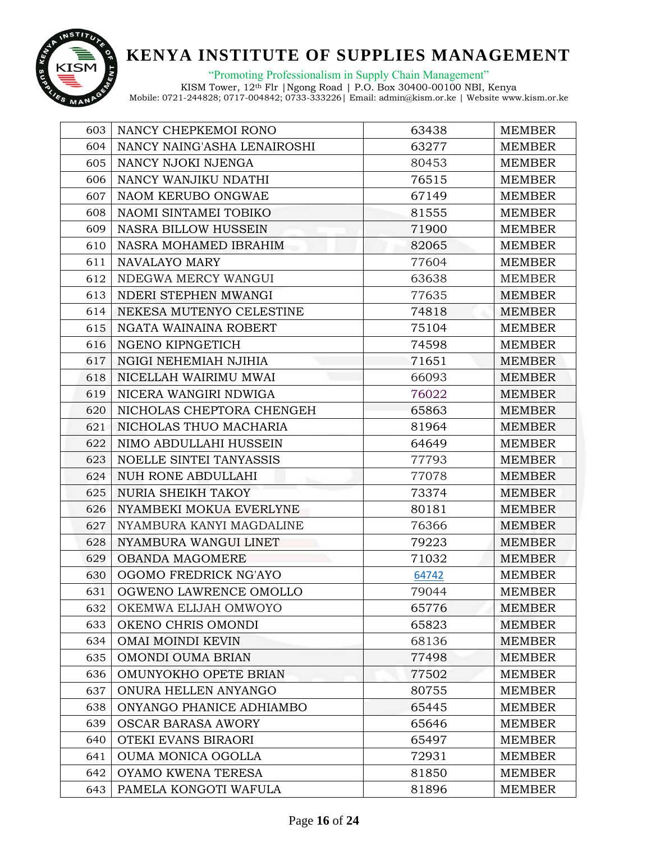

"Promoting Professionalism in Supply Chain Management"

| 603 | NANCY CHEPKEMOI RONO           | 63438 | <b>MEMBER</b> |
|-----|--------------------------------|-------|---------------|
| 604 | NANCY NAING'ASHA LENAIROSHI    | 63277 | <b>MEMBER</b> |
| 605 | NANCY NJOKI NJENGA             | 80453 | <b>MEMBER</b> |
| 606 | NANCY WANJIKU NDATHI           | 76515 | <b>MEMBER</b> |
| 607 | NAOM KERUBO ONGWAE             | 67149 | <b>MEMBER</b> |
| 608 | NAOMI SINTAMEI TOBIKO          | 81555 | <b>MEMBER</b> |
| 609 | <b>NASRA BILLOW HUSSEIN</b>    | 71900 | <b>MEMBER</b> |
| 610 | NASRA MOHAMED IBRAHIM          | 82065 | <b>MEMBER</b> |
| 611 | NAVALAYO MARY                  | 77604 | <b>MEMBER</b> |
| 612 | NDEGWA MERCY WANGUI            | 63638 | <b>MEMBER</b> |
| 613 | NDERI STEPHEN MWANGI           | 77635 | <b>MEMBER</b> |
| 614 | NEKESA MUTENYO CELESTINE       | 74818 | <b>MEMBER</b> |
| 615 | NGATA WAINAINA ROBERT          | 75104 | <b>MEMBER</b> |
| 616 | NGENO KIPNGETICH               | 74598 | <b>MEMBER</b> |
| 617 | NGIGI NEHEMIAH NJIHIA          | 71651 | <b>MEMBER</b> |
| 618 | NICELLAH WAIRIMU MWAI          | 66093 | <b>MEMBER</b> |
| 619 | NICERA WANGIRI NDWIGA          | 76022 | <b>MEMBER</b> |
| 620 | NICHOLAS CHEPTORA CHENGEH      | 65863 | <b>MEMBER</b> |
| 621 | NICHOLAS THUO MACHARIA         | 81964 | <b>MEMBER</b> |
| 622 | NIMO ABDULLAHI HUSSEIN         | 64649 | <b>MEMBER</b> |
| 623 | <b>NOELLE SINTEI TANYASSIS</b> | 77793 | <b>MEMBER</b> |
| 624 | NUH RONE ABDULLAHI             | 77078 | <b>MEMBER</b> |
| 625 | <b>NURIA SHEIKH TAKOY</b>      | 73374 | <b>MEMBER</b> |
| 626 | NYAMBEKI MOKUA EVERLYNE        | 80181 | <b>MEMBER</b> |
| 627 | NYAMBURA KANYI MAGDALINE       | 76366 | <b>MEMBER</b> |
| 628 | NYAMBURA WANGUI LINET          | 79223 | <b>MEMBER</b> |
| 629 | <b>OBANDA MAGOMERE</b>         | 71032 | <b>MEMBER</b> |
| 630 | OGOMO FREDRICK NG'AYO          | 64742 | <b>MEMBER</b> |
| 631 | OGWENO LAWRENCE OMOLLO         | 79044 | <b>MEMBER</b> |
| 632 | OKEMWA ELIJAH OMWOYO           | 65776 | <b>MEMBER</b> |
| 633 | OKENO CHRIS OMONDI             | 65823 | <b>MEMBER</b> |
| 634 | <b>OMAI MOINDI KEVIN</b>       | 68136 | <b>MEMBER</b> |
| 635 | <b>OMONDI OUMA BRIAN</b>       | 77498 | <b>MEMBER</b> |
| 636 | OMUNYOKHO OPETE BRIAN          | 77502 | <b>MEMBER</b> |
| 637 | ONURA HELLEN ANYANGO           | 80755 | <b>MEMBER</b> |
| 638 | ONYANGO PHANICE ADHIAMBO       | 65445 | <b>MEMBER</b> |
| 639 | <b>OSCAR BARASA AWORY</b>      | 65646 | MEMBER        |
| 640 | OTEKI EVANS BIRAORI            | 65497 | <b>MEMBER</b> |
| 641 | <b>OUMA MONICA OGOLLA</b>      | 72931 | <b>MEMBER</b> |
| 642 | OYAMO KWENA TERESA             | 81850 | <b>MEMBER</b> |
| 643 | PAMELA KONGOTI WAFULA          | 81896 | <b>MEMBER</b> |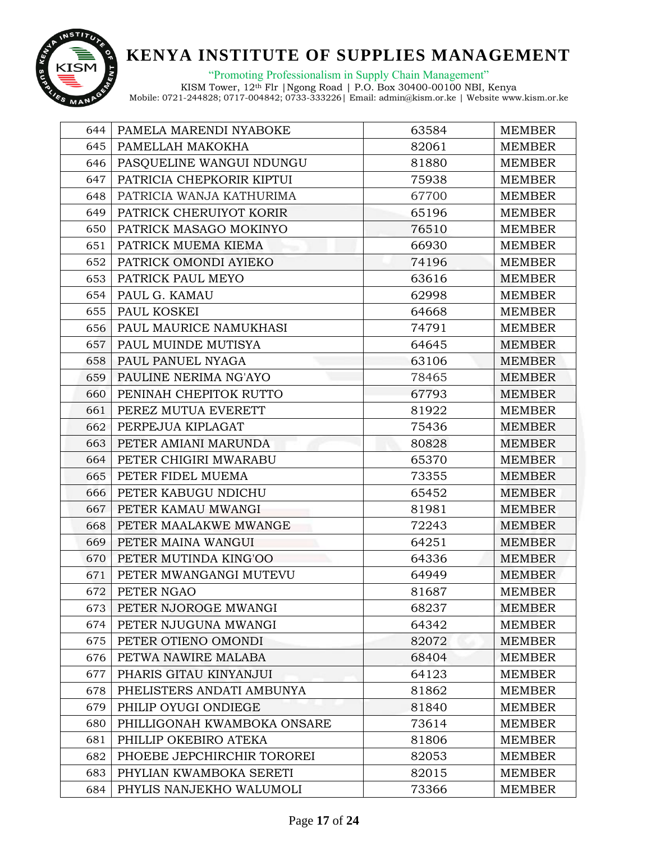

"Promoting Professionalism in Supply Chain Management"

| 644 | PAMELA MARENDI NYABOKE      | 63584 | <b>MEMBER</b> |
|-----|-----------------------------|-------|---------------|
| 645 | PAMELLAH MAKOKHA            | 82061 | <b>MEMBER</b> |
| 646 | PASQUELINE WANGUI NDUNGU    | 81880 | <b>MEMBER</b> |
| 647 | PATRICIA CHEPKORIR KIPTUI   | 75938 | <b>MEMBER</b> |
| 648 | PATRICIA WANJA KATHURIMA    | 67700 | <b>MEMBER</b> |
| 649 | PATRICK CHERUIYOT KORIR     | 65196 | <b>MEMBER</b> |
| 650 | PATRICK MASAGO MOKINYO      | 76510 | <b>MEMBER</b> |
| 651 | PATRICK MUEMA KIEMA         | 66930 | <b>MEMBER</b> |
| 652 | PATRICK OMONDI AYIEKO       | 74196 | <b>MEMBER</b> |
| 653 | PATRICK PAUL MEYO           | 63616 | <b>MEMBER</b> |
| 654 | PAUL G. KAMAU               | 62998 | <b>MEMBER</b> |
| 655 | PAUL KOSKEI                 | 64668 | <b>MEMBER</b> |
| 656 | PAUL MAURICE NAMUKHASI      | 74791 | <b>MEMBER</b> |
| 657 | PAUL MUINDE MUTISYA         | 64645 | <b>MEMBER</b> |
| 658 | PAUL PANUEL NYAGA           | 63106 | <b>MEMBER</b> |
| 659 | PAULINE NERIMA NG'AYO       | 78465 | <b>MEMBER</b> |
| 660 | PENINAH CHEPITOK RUTTO      | 67793 | <b>MEMBER</b> |
| 661 | PEREZ MUTUA EVERETT         | 81922 | <b>MEMBER</b> |
| 662 | PERPEJUA KIPLAGAT           | 75436 | <b>MEMBER</b> |
| 663 | PETER AMIANI MARUNDA        | 80828 | <b>MEMBER</b> |
| 664 | PETER CHIGIRI MWARABU       | 65370 | <b>MEMBER</b> |
| 665 | PETER FIDEL MUEMA           | 73355 | <b>MEMBER</b> |
| 666 | PETER KABUGU NDICHU         | 65452 | <b>MEMBER</b> |
| 667 | PETER KAMAU MWANGI          | 81981 | <b>MEMBER</b> |
| 668 | PETER MAALAKWE MWANGE       | 72243 | <b>MEMBER</b> |
| 669 | PETER MAINA WANGUI          | 64251 | <b>MEMBER</b> |
| 670 | PETER MUTINDA KING'OO       | 64336 | <b>MEMBER</b> |
| 671 | PETER MWANGANGI MUTEVU      | 64949 | <b>MEMBER</b> |
| 672 | PETER NGAO                  | 81687 | <b>MEMBER</b> |
| 673 | PETER NJOROGE MWANGI        | 68237 | <b>MEMBER</b> |
| 674 | PETER NJUGUNA MWANGI        | 64342 | <b>MEMBER</b> |
| 675 | PETER OTIENO OMONDI         | 82072 | <b>MEMBER</b> |
| 676 | PETWA NAWIRE MALABA         | 68404 | <b>MEMBER</b> |
| 677 | PHARIS GITAU KINYANJUI      | 64123 | <b>MEMBER</b> |
| 678 | PHELISTERS ANDATI AMBUNYA   | 81862 | <b>MEMBER</b> |
| 679 | PHILIP OYUGI ONDIEGE        | 81840 | <b>MEMBER</b> |
| 680 | PHILLIGONAH KWAMBOKA ONSARE | 73614 | <b>MEMBER</b> |
| 681 | PHILLIP OKEBIRO ATEKA       | 81806 | <b>MEMBER</b> |
| 682 | PHOEBE JEPCHIRCHIR TOROREI  | 82053 | <b>MEMBER</b> |
| 683 | PHYLIAN KWAMBOKA SERETI     | 82015 | <b>MEMBER</b> |
| 684 | PHYLIS NANJEKHO WALUMOLI    | 73366 | <b>MEMBER</b> |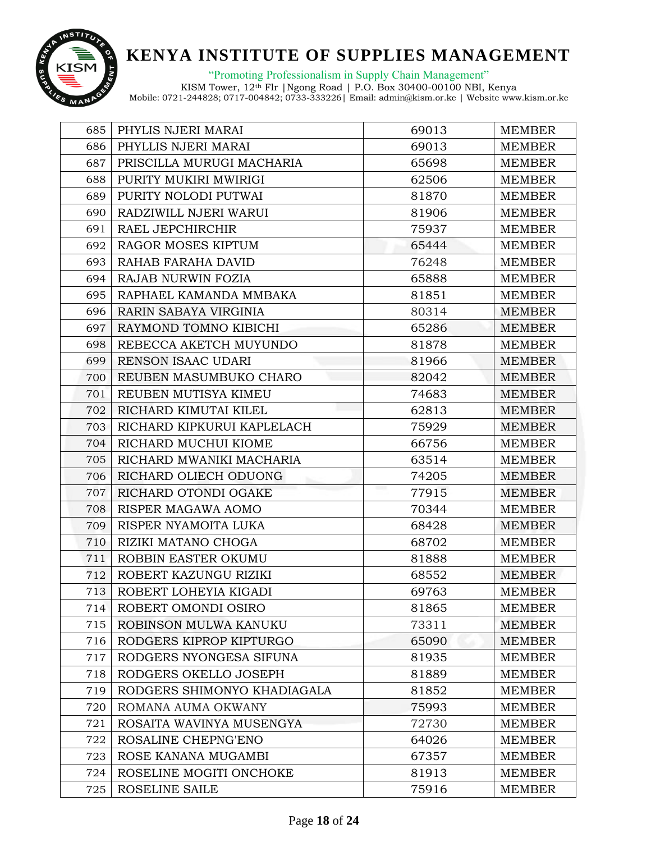

"Promoting Professionalism in Supply Chain Management"

| 685 | PHYLIS NJERI MARAI          | 69013 | <b>MEMBER</b> |
|-----|-----------------------------|-------|---------------|
| 686 | PHYLLIS NJERI MARAI         | 69013 | <b>MEMBER</b> |
| 687 | PRISCILLA MURUGI MACHARIA   | 65698 | <b>MEMBER</b> |
| 688 | PURITY MUKIRI MWIRIGI       | 62506 | <b>MEMBER</b> |
| 689 | PURITY NOLODI PUTWAI        | 81870 | <b>MEMBER</b> |
| 690 | RADZIWILL NJERI WARUI       | 81906 | <b>MEMBER</b> |
| 691 | RAEL JEPCHIRCHIR            | 75937 | <b>MEMBER</b> |
| 692 | RAGOR MOSES KIPTUM          | 65444 | MEMBER        |
| 693 | RAHAB FARAHA DAVID          | 76248 | <b>MEMBER</b> |
| 694 | RAJAB NURWIN FOZIA          | 65888 | <b>MEMBER</b> |
| 695 | RAPHAEL KAMANDA MMBAKA      | 81851 | <b>MEMBER</b> |
| 696 | RARIN SABAYA VIRGINIA       | 80314 | <b>MEMBER</b> |
| 697 | RAYMOND TOMNO KIBICHI       | 65286 | <b>MEMBER</b> |
| 698 | REBECCA AKETCH MUYUNDO      | 81878 | <b>MEMBER</b> |
| 699 | RENSON ISAAC UDARI          | 81966 | <b>MEMBER</b> |
| 700 | REUBEN MASUMBUKO CHARO      | 82042 | <b>MEMBER</b> |
| 701 | REUBEN MUTISYA KIMEU        | 74683 | <b>MEMBER</b> |
| 702 | RICHARD KIMUTAI KILEL       | 62813 | <b>MEMBER</b> |
| 703 | RICHARD KIPKURUI KAPLELACH  | 75929 | <b>MEMBER</b> |
| 704 | RICHARD MUCHUI KIOME        | 66756 | <b>MEMBER</b> |
| 705 | RICHARD MWANIKI MACHARIA    | 63514 | <b>MEMBER</b> |
| 706 | RICHARD OLIECH ODUONG       | 74205 | <b>MEMBER</b> |
| 707 | RICHARD OTONDI OGAKE        | 77915 | <b>MEMBER</b> |
| 708 | RISPER MAGAWA AOMO          | 70344 | <b>MEMBER</b> |
| 709 | RISPER NYAMOITA LUKA        | 68428 | <b>MEMBER</b> |
| 710 | RIZIKI MATANO CHOGA         | 68702 | <b>MEMBER</b> |
| 711 | ROBBIN EASTER OKUMU         | 81888 | <b>MEMBER</b> |
| 712 | ROBERT KAZUNGU RIZIKI       | 68552 | <b>MEMBER</b> |
| 713 | ROBERT LOHEYIA KIGADI       | 69763 | <b>MEMBER</b> |
| 714 | ROBERT OMONDI OSIRO         | 81865 | <b>MEMBER</b> |
| 715 | ROBINSON MULWA KANUKU       | 73311 | <b>MEMBER</b> |
| 716 | RODGERS KIPROP KIPTURGO     | 65090 | <b>MEMBER</b> |
| 717 | RODGERS NYONGESA SIFUNA     | 81935 | <b>MEMBER</b> |
| 718 | RODGERS OKELLO JOSEPH       | 81889 | <b>MEMBER</b> |
| 719 | RODGERS SHIMONYO KHADIAGALA | 81852 | <b>MEMBER</b> |
| 720 | ROMANA AUMA OKWANY          | 75993 | <b>MEMBER</b> |
| 721 | ROSAITA WAVINYA MUSENGYA    | 72730 | <b>MEMBER</b> |
| 722 | ROSALINE CHEPNG'ENO         | 64026 | <b>MEMBER</b> |
| 723 | ROSE KANANA MUGAMBI         | 67357 | <b>MEMBER</b> |
| 724 | ROSELINE MOGITI ONCHOKE     | 81913 | <b>MEMBER</b> |
| 725 | ROSELINE SAILE              | 75916 | <b>MEMBER</b> |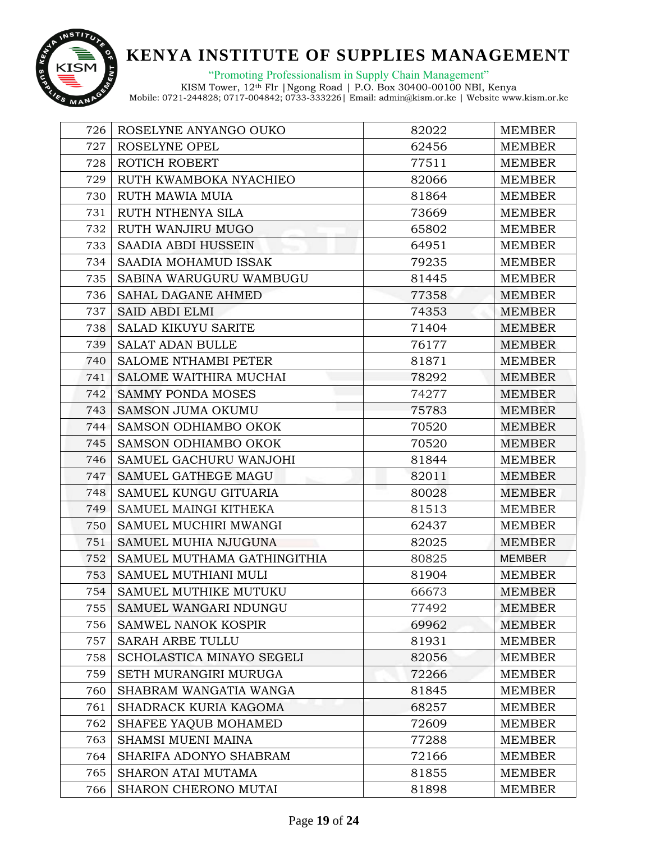

"Promoting Professionalism in Supply Chain Management"

| 726 | ROSELYNE ANYANGO OUKO       | 82022 | <b>MEMBER</b> |
|-----|-----------------------------|-------|---------------|
| 727 | ROSELYNE OPEL               | 62456 | <b>MEMBER</b> |
| 728 | ROTICH ROBERT               | 77511 | <b>MEMBER</b> |
| 729 | RUTH KWAMBOKA NYACHIEO      | 82066 | <b>MEMBER</b> |
| 730 | RUTH MAWIA MUIA             | 81864 | <b>MEMBER</b> |
| 731 | RUTH NTHENYA SILA           | 73669 | <b>MEMBER</b> |
| 732 | RUTH WANJIRU MUGO           | 65802 | <b>MEMBER</b> |
| 733 | SAADIA ABDI HUSSEIN         | 64951 | <b>MEMBER</b> |
| 734 | SAADIA MOHAMUD ISSAK        | 79235 | <b>MEMBER</b> |
| 735 | SABINA WARUGURU WAMBUGU     | 81445 | <b>MEMBER</b> |
| 736 | <b>SAHAL DAGANE AHMED</b>   | 77358 | <b>MEMBER</b> |
| 737 | <b>SAID ABDI ELMI</b>       | 74353 | <b>MEMBER</b> |
| 738 | <b>SALAD KIKUYU SARITE</b>  | 71404 | <b>MEMBER</b> |
| 739 | <b>SALAT ADAN BULLE</b>     | 76177 | <b>MEMBER</b> |
| 740 | <b>SALOME NTHAMBI PETER</b> | 81871 | <b>MEMBER</b> |
| 741 | SALOME WAITHIRA MUCHAI      | 78292 | <b>MEMBER</b> |
| 742 | <b>SAMMY PONDA MOSES</b>    | 74277 | <b>MEMBER</b> |
| 743 | <b>SAMSON JUMA OKUMU</b>    | 75783 | <b>MEMBER</b> |
| 744 | SAMSON ODHIAMBO OKOK        | 70520 | <b>MEMBER</b> |
| 745 | SAMSON ODHIAMBO OKOK        | 70520 | <b>MEMBER</b> |
| 746 | SAMUEL GACHURU WANJOHI      | 81844 | <b>MEMBER</b> |
| 747 | SAMUEL GATHEGE MAGU         | 82011 | <b>MEMBER</b> |
| 748 | SAMUEL KUNGU GITUARIA       | 80028 | <b>MEMBER</b> |
| 749 | SAMUEL MAINGI KITHEKA       | 81513 | <b>MEMBER</b> |
| 750 | SAMUEL MUCHIRI MWANGI       | 62437 | <b>MEMBER</b> |
| 751 | SAMUEL MUHIA NJUGUNA        | 82025 | <b>MEMBER</b> |
| 752 | SAMUEL MUTHAMA GATHINGITHIA | 80825 | <b>MEMBER</b> |
| 753 | SAMUEL MUTHIANI MULI        | 81904 | <b>MEMBER</b> |
| 754 | SAMUEL MUTHIKE MUTUKU       | 66673 | <b>MEMBER</b> |
| 755 | SAMUEL WANGARI NDUNGU       | 77492 | <b>MEMBER</b> |
| 756 | <b>SAMWEL NANOK KOSPIR</b>  | 69962 | <b>MEMBER</b> |
| 757 | <b>SARAH ARBE TULLU</b>     | 81931 | <b>MEMBER</b> |
| 758 | SCHOLASTICA MINAYO SEGELI   | 82056 | <b>MEMBER</b> |
| 759 | SETH MURANGIRI MURUGA       | 72266 | <b>MEMBER</b> |
| 760 | SHABRAM WANGATIA WANGA      | 81845 | <b>MEMBER</b> |
| 761 | SHADRACK KURIA KAGOMA       | 68257 | <b>MEMBER</b> |
| 762 | SHAFEE YAQUB MOHAMED        | 72609 | MEMBER        |
| 763 | SHAMSI MUENI MAINA          | 77288 | <b>MEMBER</b> |
| 764 | SHARIFA ADONYO SHABRAM      | 72166 | <b>MEMBER</b> |
| 765 | SHARON ATAI MUTAMA          | 81855 | <b>MEMBER</b> |
| 766 | SHARON CHERONO MUTAI        | 81898 | <b>MEMBER</b> |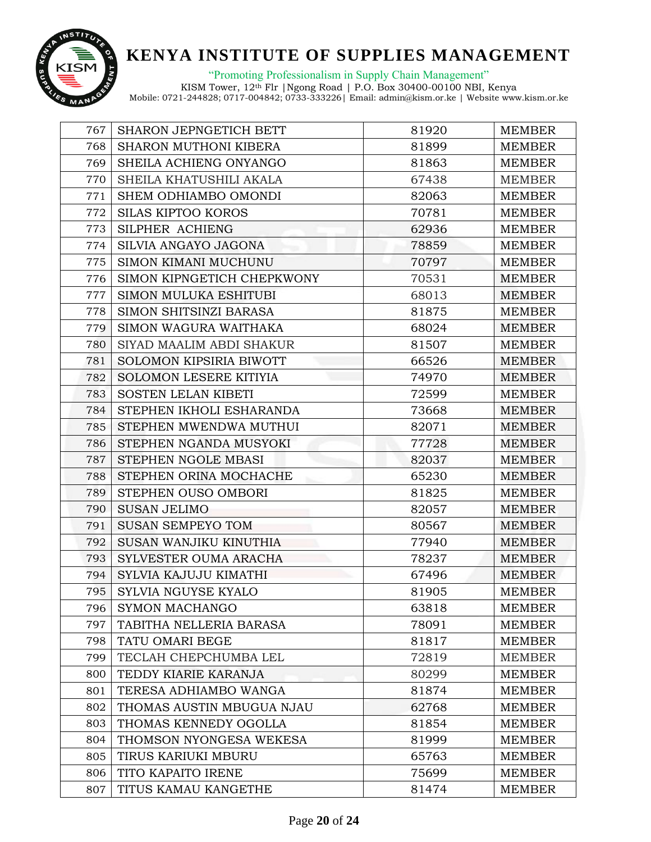

"Promoting Professionalism in Supply Chain Management"

| 767 | <b>SHARON JEPNGETICH BETT</b>  | 81920 | <b>MEMBER</b> |
|-----|--------------------------------|-------|---------------|
| 768 | SHARON MUTHONI KIBERA          | 81899 | <b>MEMBER</b> |
| 769 | SHEILA ACHIENG ONYANGO         | 81863 | <b>MEMBER</b> |
| 770 | SHEILA KHATUSHILI AKALA        | 67438 | <b>MEMBER</b> |
| 771 | SHEM ODHIAMBO OMONDI           | 82063 | <b>MEMBER</b> |
| 772 | <b>SILAS KIPTOO KOROS</b>      | 70781 | <b>MEMBER</b> |
| 773 | SILPHER ACHIENG                | 62936 | <b>MEMBER</b> |
| 774 | SILVIA ANGAYO JAGONA           | 78859 | <b>MEMBER</b> |
| 775 | SIMON KIMANI MUCHUNU           | 70797 | <b>MEMBER</b> |
| 776 | SIMON KIPNGETICH CHEPKWONY     | 70531 | <b>MEMBER</b> |
| 777 | <b>SIMON MULUKA ESHITUBI</b>   | 68013 | <b>MEMBER</b> |
| 778 | SIMON SHITSINZI BARASA         | 81875 | <b>MEMBER</b> |
| 779 | SIMON WAGURA WAITHAKA          | 68024 | <b>MEMBER</b> |
| 780 | SIYAD MAALIM ABDI SHAKUR       | 81507 | <b>MEMBER</b> |
| 781 | <b>SOLOMON KIPSIRIA BIWOTT</b> | 66526 | <b>MEMBER</b> |
| 782 | <b>SOLOMON LESERE KITIYIA</b>  | 74970 | <b>MEMBER</b> |
| 783 | <b>SOSTEN LELAN KIBETI</b>     | 72599 | <b>MEMBER</b> |
| 784 | STEPHEN IKHOLI ESHARANDA       | 73668 | <b>MEMBER</b> |
| 785 | STEPHEN MWENDWA MUTHUI         | 82071 | <b>MEMBER</b> |
| 786 | STEPHEN NGANDA MUSYOKI         | 77728 | <b>MEMBER</b> |
| 787 | STEPHEN NGOLE MBASI            | 82037 | <b>MEMBER</b> |
| 788 | STEPHEN ORINA MOCHACHE         | 65230 | <b>MEMBER</b> |
| 789 | STEPHEN OUSO OMBORI            | 81825 | <b>MEMBER</b> |
| 790 | <b>SUSAN JELIMO</b>            | 82057 | <b>MEMBER</b> |
| 791 | <b>SUSAN SEMPEYO TOM</b>       | 80567 | <b>MEMBER</b> |
| 792 | SUSAN WANJIKU KINUTHIA         | 77940 | <b>MEMBER</b> |
| 793 | SYLVESTER OUMA ARACHA          | 78237 | <b>MEMBER</b> |
| 794 | SYLVIA KAJUJU KIMATHI          | 67496 | <b>MEMBER</b> |
| 795 | SYLVIA NGUYSE KYALO            | 81905 | <b>MEMBER</b> |
| 796 | <b>SYMON MACHANGO</b>          | 63818 | <b>MEMBER</b> |
| 797 | TABITHA NELLERIA BARASA        | 78091 | <b>MEMBER</b> |
| 798 | TATU OMARI BEGE                | 81817 | <b>MEMBER</b> |
| 799 | TECLAH CHEPCHUMBA LEL          | 72819 | <b>MEMBER</b> |
| 800 | TEDDY KIARIE KARANJA           | 80299 | <b>MEMBER</b> |
| 801 | TERESA ADHIAMBO WANGA          | 81874 | <b>MEMBER</b> |
| 802 | THOMAS AUSTIN MBUGUA NJAU      | 62768 | <b>MEMBER</b> |
| 803 | THOMAS KENNEDY OGOLLA          | 81854 | <b>MEMBER</b> |
| 804 | THOMSON NYONGESA WEKESA        | 81999 | <b>MEMBER</b> |
| 805 | TIRUS KARIUKI MBURU            | 65763 | <b>MEMBER</b> |
| 806 | TITO KAPAITO IRENE             | 75699 | <b>MEMBER</b> |
| 807 | TITUS KAMAU KANGETHE           | 81474 | <b>MEMBER</b> |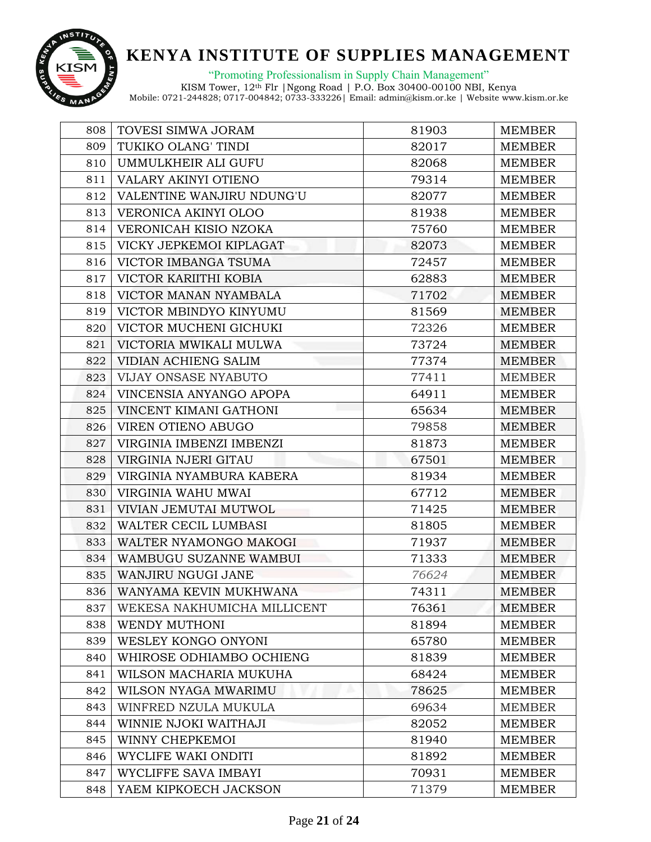

"Promoting Professionalism in Supply Chain Management"

| 808 | TOVESI SIMWA JORAM          | 81903 | <b>MEMBER</b> |
|-----|-----------------------------|-------|---------------|
| 809 | TUKIKO OLANG' TINDI         | 82017 | <b>MEMBER</b> |
| 810 | UMMULKHEIR ALI GUFU         | 82068 | <b>MEMBER</b> |
| 811 | VALARY AKINYI OTIENO        | 79314 | <b>MEMBER</b> |
| 812 | VALENTINE WANJIRU NDUNG'U   | 82077 | <b>MEMBER</b> |
| 813 | VERONICA AKINYI OLOO        | 81938 | <b>MEMBER</b> |
| 814 | VERONICAH KISIO NZOKA       | 75760 | <b>MEMBER</b> |
| 815 | VICKY JEPKEMOI KIPLAGAT     | 82073 | <b>MEMBER</b> |
| 816 | VICTOR IMBANGA TSUMA        | 72457 | <b>MEMBER</b> |
| 817 | VICTOR KARIITHI KOBIA       | 62883 | <b>MEMBER</b> |
| 818 | VICTOR MANAN NYAMBALA       | 71702 | <b>MEMBER</b> |
| 819 | VICTOR MBINDYO KINYUMU      | 81569 | <b>MEMBER</b> |
| 820 | VICTOR MUCHENI GICHUKI      | 72326 | <b>MEMBER</b> |
| 821 | VICTORIA MWIKALI MULWA      | 73724 | <b>MEMBER</b> |
| 822 | VIDIAN ACHIENG SALIM        | 77374 | <b>MEMBER</b> |
| 823 | VIJAY ONSASE NYABUTO        | 77411 | <b>MEMBER</b> |
| 824 | VINCENSIA ANYANGO APOPA     | 64911 | <b>MEMBER</b> |
| 825 | VINCENT KIMANI GATHONI      | 65634 | <b>MEMBER</b> |
| 826 | VIREN OTIENO ABUGO          | 79858 | <b>MEMBER</b> |
| 827 | VIRGINIA IMBENZI IMBENZI    | 81873 | <b>MEMBER</b> |
| 828 | VIRGINIA NJERI GITAU        | 67501 | <b>MEMBER</b> |
| 829 | VIRGINIA NYAMBURA KABERA    | 81934 | <b>MEMBER</b> |
| 830 | VIRGINIA WAHU MWAI          | 67712 | <b>MEMBER</b> |
| 831 | VIVIAN JEMUTAI MUTWOL       | 71425 | <b>MEMBER</b> |
| 832 | WALTER CECIL LUMBASI        | 81805 | <b>MEMBER</b> |
| 833 | WALTER NYAMONGO MAKOGI      | 71937 | MEMBER        |
| 834 | WAMBUGU SUZANNE WAMBUI      | 71333 | <b>MEMBER</b> |
| 835 | WANJIRU NGUGI JANE          | 76624 | <b>MEMBER</b> |
| 836 | WANYAMA KEVIN MUKHWANA      | 74311 | <b>MEMBER</b> |
| 837 | WEKESA NAKHUMICHA MILLICENT | 76361 | <b>MEMBER</b> |
| 838 | WENDY MUTHONI               | 81894 | <b>MEMBER</b> |
| 839 | WESLEY KONGO ONYONI         | 65780 | <b>MEMBER</b> |
| 840 | WHIROSE ODHIAMBO OCHIENG    | 81839 | <b>MEMBER</b> |
| 841 | WILSON MACHARIA MUKUHA      | 68424 | <b>MEMBER</b> |
| 842 | WILSON NYAGA MWARIMU        | 78625 | <b>MEMBER</b> |
| 843 | WINFRED NZULA MUKULA        | 69634 | <b>MEMBER</b> |
| 844 | WINNIE NJOKI WAITHAJI       | 82052 | MEMBER        |
| 845 | WINNY CHEPKEMOI             | 81940 | <b>MEMBER</b> |
| 846 | WYCLIFE WAKI ONDITI         | 81892 | <b>MEMBER</b> |
| 847 | WYCLIFFE SAVA IMBAYI        | 70931 | <b>MEMBER</b> |
| 848 | YAEM KIPKOECH JACKSON       | 71379 | <b>MEMBER</b> |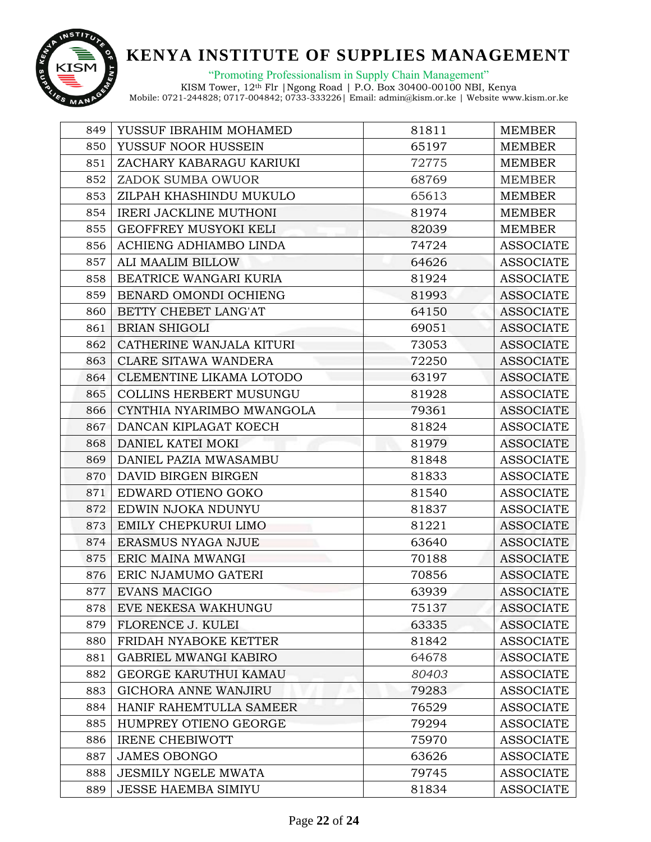

"Promoting Professionalism in Supply Chain Management"

| 849 | YUSSUF IBRAHIM MOHAMED        | 81811 | <b>MEMBER</b>    |
|-----|-------------------------------|-------|------------------|
| 850 | YUSSUF NOOR HUSSEIN           | 65197 | <b>MEMBER</b>    |
| 851 | ZACHARY KABARAGU KARIUKI      | 72775 | <b>MEMBER</b>    |
| 852 | ZADOK SUMBA OWUOR             | 68769 | <b>MEMBER</b>    |
| 853 | ZILPAH KHASHINDU MUKULO       | 65613 | <b>MEMBER</b>    |
| 854 | <b>IRERI JACKLINE MUTHONI</b> | 81974 | <b>MEMBER</b>    |
| 855 | GEOFFREY MUSYOKI KELI         | 82039 | <b>MEMBER</b>    |
| 856 | ACHIENG ADHIAMBO LINDA        | 74724 | <b>ASSOCIATE</b> |
| 857 | ALI MAALIM BILLOW             | 64626 | <b>ASSOCIATE</b> |
| 858 | BEATRICE WANGARI KURIA        | 81924 | <b>ASSOCIATE</b> |
| 859 | BENARD OMONDI OCHIENG         | 81993 | <b>ASSOCIATE</b> |
| 860 | BETTY CHEBET LANG'AT          | 64150 | <b>ASSOCIATE</b> |
| 861 | <b>BRIAN SHIGOLI</b>          | 69051 | <b>ASSOCIATE</b> |
| 862 | CATHERINE WANJALA KITURI      | 73053 | <b>ASSOCIATE</b> |
| 863 | <b>CLARE SITAWA WANDERA</b>   | 72250 | <b>ASSOCIATE</b> |
| 864 | CLEMENTINE LIKAMA LOTODO      | 63197 | <b>ASSOCIATE</b> |
| 865 | COLLINS HERBERT MUSUNGU       | 81928 | <b>ASSOCIATE</b> |
| 866 | CYNTHIA NYARIMBO MWANGOLA     | 79361 | <b>ASSOCIATE</b> |
| 867 | DANCAN KIPLAGAT KOECH         | 81824 | <b>ASSOCIATE</b> |
| 868 | DANIEL KATEI MOKI             | 81979 | <b>ASSOCIATE</b> |
| 869 | DANIEL PAZIA MWASAMBU         | 81848 | <b>ASSOCIATE</b> |
| 870 | DAVID BIRGEN BIRGEN           | 81833 | <b>ASSOCIATE</b> |
| 871 | EDWARD OTIENO GOKO            | 81540 | <b>ASSOCIATE</b> |
| 872 | EDWIN NJOKA NDUNYU            | 81837 | <b>ASSOCIATE</b> |
| 873 | EMILY CHEPKURUI LIMO          | 81221 | <b>ASSOCIATE</b> |
| 874 | ERASMUS NYAGA NJUE            | 63640 | <b>ASSOCIATE</b> |
| 875 | ERIC MAINA MWANGI             | 70188 | <b>ASSOCIATE</b> |
| 876 | ERIC NJAMUMO GATERI           | 70856 | <b>ASSOCIATE</b> |
| 877 | <b>EVANS MACIGO</b>           | 63939 | <b>ASSOCIATE</b> |
| 878 | EVE NEKESA WAKHUNGU           | 75137 | <b>ASSOCIATE</b> |
| 879 | FLORENCE J. KULEI             | 63335 | <b>ASSOCIATE</b> |
| 880 | FRIDAH NYABOKE KETTER         | 81842 | <b>ASSOCIATE</b> |
| 881 | <b>GABRIEL MWANGI KABIRO</b>  | 64678 | <b>ASSOCIATE</b> |
| 882 | GEORGE KARUTHUI KAMAU         | 80403 | <b>ASSOCIATE</b> |
| 883 | GICHORA ANNE WANJIRU          | 79283 | <b>ASSOCIATE</b> |
| 884 | HANIF RAHEMTULLA SAMEER       | 76529 | <b>ASSOCIATE</b> |
| 885 | HUMPREY OTIENO GEORGE         | 79294 | <b>ASSOCIATE</b> |
| 886 | <b>IRENE CHEBIWOTT</b>        | 75970 | <b>ASSOCIATE</b> |
| 887 | <b>JAMES OBONGO</b>           | 63626 | <b>ASSOCIATE</b> |
| 888 | <b>JESMILY NGELE MWATA</b>    | 79745 | <b>ASSOCIATE</b> |
| 889 | <b>JESSE HAEMBA SIMIYU</b>    | 81834 | <b>ASSOCIATE</b> |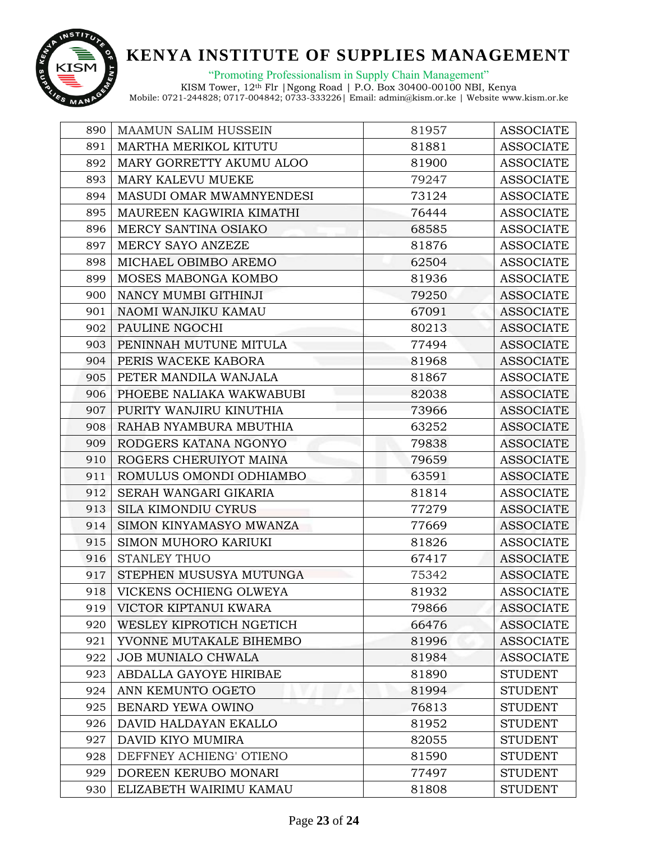

"Promoting Professionalism in Supply Chain Management"

| 890 | <b>MAAMUN SALIM HUSSEIN</b> | 81957 | <b>ASSOCIATE</b> |
|-----|-----------------------------|-------|------------------|
| 891 | MARTHA MERIKOL KITUTU       | 81881 | <b>ASSOCIATE</b> |
| 892 | MARY GORRETTY AKUMU ALOO    | 81900 | <b>ASSOCIATE</b> |
| 893 | MARY KALEVU MUEKE           | 79247 | <b>ASSOCIATE</b> |
| 894 | MASUDI OMAR MWAMNYENDESI    | 73124 | <b>ASSOCIATE</b> |
| 895 | MAUREEN KAGWIRIA KIMATHI    | 76444 | <b>ASSOCIATE</b> |
| 896 | MERCY SANTINA OSIAKO        | 68585 | <b>ASSOCIATE</b> |
| 897 | MERCY SAYO ANZEZE           | 81876 | <b>ASSOCIATE</b> |
| 898 | MICHAEL OBIMBO AREMO        | 62504 | <b>ASSOCIATE</b> |
| 899 | MOSES MABONGA KOMBO         | 81936 | <b>ASSOCIATE</b> |
| 900 | NANCY MUMBI GITHINJI        | 79250 | <b>ASSOCIATE</b> |
| 901 | NAOMI WANJIKU KAMAU         | 67091 | <b>ASSOCIATE</b> |
| 902 | PAULINE NGOCHI              | 80213 | <b>ASSOCIATE</b> |
| 903 | PENINNAH MUTUNE MITULA      | 77494 | <b>ASSOCIATE</b> |
| 904 | PERIS WACEKE KABORA         | 81968 | <b>ASSOCIATE</b> |
| 905 | PETER MANDILA WANJALA       | 81867 | <b>ASSOCIATE</b> |
| 906 | PHOEBE NALIAKA WAKWABUBI    | 82038 | <b>ASSOCIATE</b> |
| 907 | PURITY WANJIRU KINUTHIA     | 73966 | <b>ASSOCIATE</b> |
| 908 | RAHAB NYAMBURA MBUTHIA      | 63252 | <b>ASSOCIATE</b> |
| 909 | RODGERS KATANA NGONYO       | 79838 | <b>ASSOCIATE</b> |
| 910 | ROGERS CHERUIYOT MAINA      | 79659 | <b>ASSOCIATE</b> |
| 911 | ROMULUS OMONDI ODHIAMBO     | 63591 | <b>ASSOCIATE</b> |
| 912 | SERAH WANGARI GIKARIA       | 81814 | <b>ASSOCIATE</b> |
| 913 | <b>SILA KIMONDIU CYRUS</b>  | 77279 | <b>ASSOCIATE</b> |
| 914 | SIMON KINYAMASYO MWANZA     | 77669 | <b>ASSOCIATE</b> |
| 915 | SIMON MUHORO KARIUKI        | 81826 | <b>ASSOCIATE</b> |
| 916 | <b>STANLEY THUO</b>         | 67417 | <b>ASSOCIATE</b> |
| 917 | STEPHEN MUSUSYA MUTUNGA     | 75342 | <b>ASSOCIATE</b> |
| 918 | VICKENS OCHIENG OLWEYA      | 81932 | <b>ASSOCIATE</b> |
| 919 | VICTOR KIPTANUI KWARA       | 79866 | <b>ASSOCIATE</b> |
| 920 | WESLEY KIPROTICH NGETICH    | 66476 | <b>ASSOCIATE</b> |
| 921 | YVONNE MUTAKALE BIHEMBO     | 81996 | <b>ASSOCIATE</b> |
| 922 | <b>JOB MUNIALO CHWALA</b>   | 81984 | <b>ASSOCIATE</b> |
| 923 | ABDALLA GAYOYE HIRIBAE      | 81890 | <b>STUDENT</b>   |
| 924 | ANN KEMUNTO OGETO           | 81994 | <b>STUDENT</b>   |
| 925 | BENARD YEWA OWINO           | 76813 | <b>STUDENT</b>   |
| 926 | DAVID HALDAYAN EKALLO       | 81952 | <b>STUDENT</b>   |
| 927 | DAVID KIYO MUMIRA           | 82055 | <b>STUDENT</b>   |
| 928 | DEFFNEY ACHIENG' OTIENO     | 81590 | <b>STUDENT</b>   |
| 929 | DOREEN KERUBO MONARI        | 77497 | <b>STUDENT</b>   |
| 930 | ELIZABETH WAIRIMU KAMAU     | 81808 | <b>STUDENT</b>   |